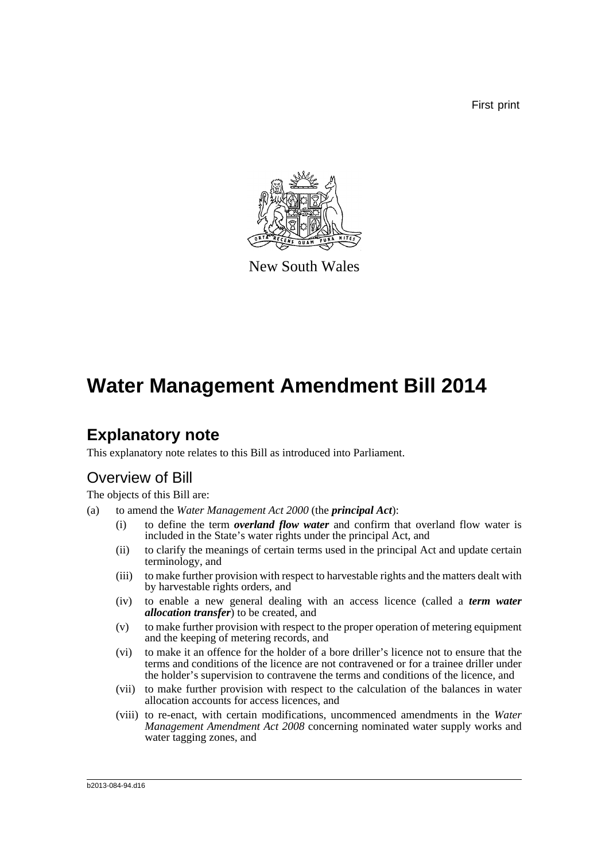First print



New South Wales

# **Water Management Amendment Bill 2014**

## **Explanatory note**

This explanatory note relates to this Bill as introduced into Parliament.

## Overview of Bill

The objects of this Bill are:

- (a) to amend the *Water Management Act 2000* (the *principal Act*):
	- (i) to define the term *overland flow water* and confirm that overland flow water is included in the State's water rights under the principal Act, and
	- (ii) to clarify the meanings of certain terms used in the principal Act and update certain terminology, and
	- (iii) to make further provision with respect to harvestable rights and the matters dealt with by harvestable rights orders, and
	- (iv) to enable a new general dealing with an access licence (called a *term water allocation transfer*) to be created, and
	- (v) to make further provision with respect to the proper operation of metering equipment and the keeping of metering records, and
	- (vi) to make it an offence for the holder of a bore driller's licence not to ensure that the terms and conditions of the licence are not contravened or for a trainee driller under the holder's supervision to contravene the terms and conditions of the licence, and
	- (vii) to make further provision with respect to the calculation of the balances in water allocation accounts for access licences, and
	- (viii) to re-enact, with certain modifications, uncommenced amendments in the *Water Management Amendment Act 2008* concerning nominated water supply works and water tagging zones, and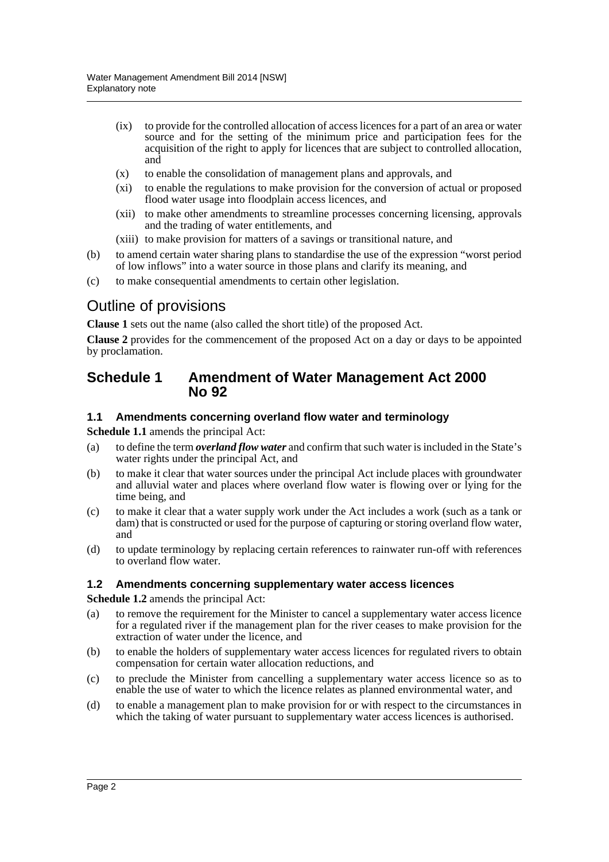- (ix) to provide for the controlled allocation of access licences for a part of an area or water source and for the setting of the minimum price and participation fees for the acquisition of the right to apply for licences that are subject to controlled allocation, and
- (x) to enable the consolidation of management plans and approvals, and
- (xi) to enable the regulations to make provision for the conversion of actual or proposed flood water usage into floodplain access licences, and
- (xii) to make other amendments to streamline processes concerning licensing, approvals and the trading of water entitlements, and
- (xiii) to make provision for matters of a savings or transitional nature, and
- (b) to amend certain water sharing plans to standardise the use of the expression "worst period of low inflows" into a water source in those plans and clarify its meaning, and
- (c) to make consequential amendments to certain other legislation.

## Outline of provisions

**Clause 1** sets out the name (also called the short title) of the proposed Act.

**Clause 2** provides for the commencement of the proposed Act on a day or days to be appointed by proclamation.

#### **Schedule 1 Amendment of Water Management Act 2000 No 92**

#### **1.1 Amendments concerning overland flow water and terminology**

**Schedule 1.1** amends the principal Act:

- (a) to define the term *overland flow water* and confirm that such water is included in the State's water rights under the principal Act, and
- (b) to make it clear that water sources under the principal Act include places with groundwater and alluvial water and places where overland flow water is flowing over or lying for the time being, and
- (c) to make it clear that a water supply work under the Act includes a work (such as a tank or dam) that is constructed or used for the purpose of capturing or storing overland flow water, and
- (d) to update terminology by replacing certain references to rainwater run-off with references to overland flow water.

#### **1.2 Amendments concerning supplementary water access licences**

**Schedule 1.2** amends the principal Act:

- (a) to remove the requirement for the Minister to cancel a supplementary water access licence for a regulated river if the management plan for the river ceases to make provision for the extraction of water under the licence, and
- (b) to enable the holders of supplementary water access licences for regulated rivers to obtain compensation for certain water allocation reductions, and
- (c) to preclude the Minister from cancelling a supplementary water access licence so as to enable the use of water to which the licence relates as planned environmental water, and
- (d) to enable a management plan to make provision for or with respect to the circumstances in which the taking of water pursuant to supplementary water access licences is authorised.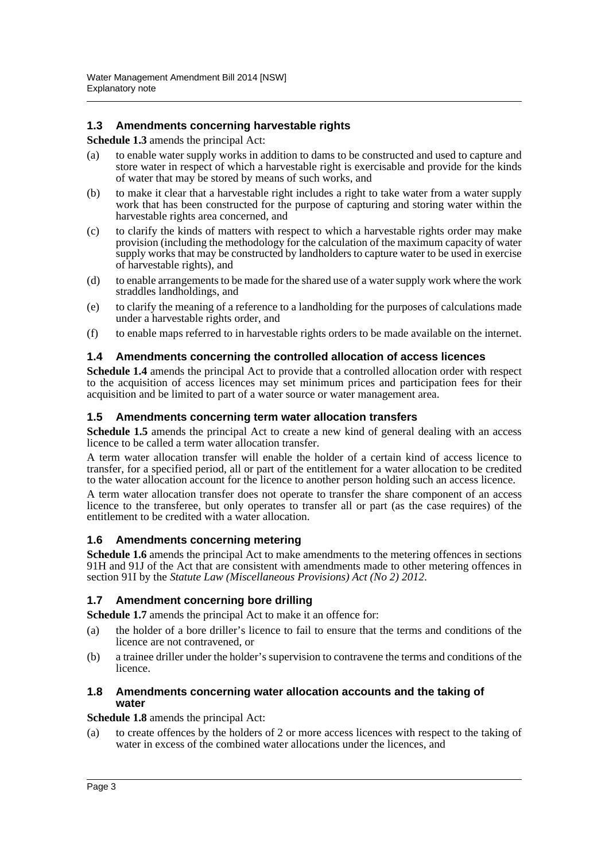#### **1.3 Amendments concerning harvestable rights**

#### **Schedule 1.3** amends the principal Act:

- (a) to enable water supply works in addition to dams to be constructed and used to capture and store water in respect of which a harvestable right is exercisable and provide for the kinds of water that may be stored by means of such works, and
- (b) to make it clear that a harvestable right includes a right to take water from a water supply work that has been constructed for the purpose of capturing and storing water within the harvestable rights area concerned, and
- (c) to clarify the kinds of matters with respect to which a harvestable rights order may make provision (including the methodology for the calculation of the maximum capacity of water supply works that may be constructed by landholders to capture water to be used in exercise of harvestable rights), and
- (d) to enable arrangements to be made for the shared use of a water supply work where the work straddles landholdings, and
- (e) to clarify the meaning of a reference to a landholding for the purposes of calculations made under a harvestable rights order, and
- (f) to enable maps referred to in harvestable rights orders to be made available on the internet.

#### **1.4 Amendments concerning the controlled allocation of access licences**

**Schedule 1.4** amends the principal Act to provide that a controlled allocation order with respect to the acquisition of access licences may set minimum prices and participation fees for their acquisition and be limited to part of a water source or water management area.

#### **1.5 Amendments concerning term water allocation transfers**

**Schedule 1.5** amends the principal Act to create a new kind of general dealing with an access licence to be called a term water allocation transfer.

A term water allocation transfer will enable the holder of a certain kind of access licence to transfer, for a specified period, all or part of the entitlement for a water allocation to be credited to the water allocation account for the licence to another person holding such an access licence.

A term water allocation transfer does not operate to transfer the share component of an access licence to the transferee, but only operates to transfer all or part (as the case requires) of the entitlement to be credited with a water allocation.

#### **1.6 Amendments concerning metering**

**Schedule 1.6** amends the principal Act to make amendments to the metering offences in sections 91H and 91J of the Act that are consistent with amendments made to other metering offences in section 91I by the *Statute Law (Miscellaneous Provisions) Act (No 2) 2012*.

#### **1.7 Amendment concerning bore drilling**

**Schedule 1.7** amends the principal Act to make it an offence for:

- (a) the holder of a bore driller's licence to fail to ensure that the terms and conditions of the licence are not contravened, or
- (b) a trainee driller under the holder's supervision to contravene the terms and conditions of the licence.

#### **1.8 Amendments concerning water allocation accounts and the taking of water**

#### **Schedule 1.8** amends the principal Act:

(a) to create offences by the holders of 2 or more access licences with respect to the taking of water in excess of the combined water allocations under the licences, and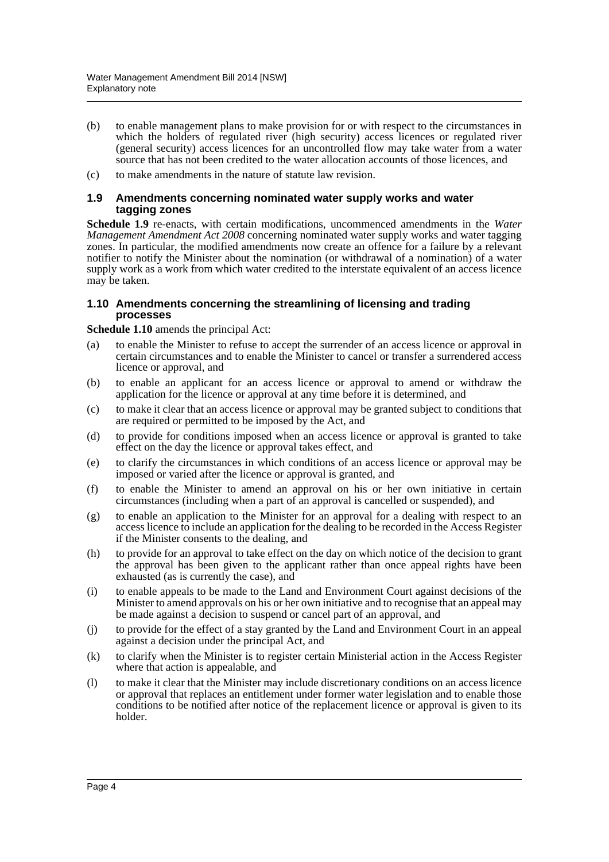- (b) to enable management plans to make provision for or with respect to the circumstances in which the holders of regulated river (high security) access licences or regulated river (general security) access licences for an uncontrolled flow may take water from a water source that has not been credited to the water allocation accounts of those licences, and
- (c) to make amendments in the nature of statute law revision.

#### **1.9 Amendments concerning nominated water supply works and water tagging zones**

**Schedule 1.9** re-enacts, with certain modifications, uncommenced amendments in the *Water Management Amendment Act 2008* concerning nominated water supply works and water tagging zones. In particular, the modified amendments now create an offence for a failure by a relevant notifier to notify the Minister about the nomination (or withdrawal of a nomination) of a water supply work as a work from which water credited to the interstate equivalent of an access licence may be taken.

#### **1.10 Amendments concerning the streamlining of licensing and trading processes**

**Schedule 1.10** amends the principal Act:

- (a) to enable the Minister to refuse to accept the surrender of an access licence or approval in certain circumstances and to enable the Minister to cancel or transfer a surrendered access licence or approval, and
- (b) to enable an applicant for an access licence or approval to amend or withdraw the application for the licence or approval at any time before it is determined, and
- (c) to make it clear that an access licence or approval may be granted subject to conditions that are required or permitted to be imposed by the Act, and
- (d) to provide for conditions imposed when an access licence or approval is granted to take effect on the day the licence or approval takes effect, and
- (e) to clarify the circumstances in which conditions of an access licence or approval may be imposed or varied after the licence or approval is granted, and
- (f) to enable the Minister to amend an approval on his or her own initiative in certain circumstances (including when a part of an approval is cancelled or suspended), and
- (g) to enable an application to the Minister for an approval for a dealing with respect to an access licence to include an application for the dealing to be recorded in the Access Register if the Minister consents to the dealing, and
- (h) to provide for an approval to take effect on the day on which notice of the decision to grant the approval has been given to the applicant rather than once appeal rights have been exhausted (as is currently the case), and
- (i) to enable appeals to be made to the Land and Environment Court against decisions of the Minister to amend approvals on his or her own initiative and to recognise that an appeal may be made against a decision to suspend or cancel part of an approval, and
- (j) to provide for the effect of a stay granted by the Land and Environment Court in an appeal against a decision under the principal Act, and
- (k) to clarify when the Minister is to register certain Ministerial action in the Access Register where that action is appealable, and
- (l) to make it clear that the Minister may include discretionary conditions on an access licence or approval that replaces an entitlement under former water legislation and to enable those conditions to be notified after notice of the replacement licence or approval is given to its holder.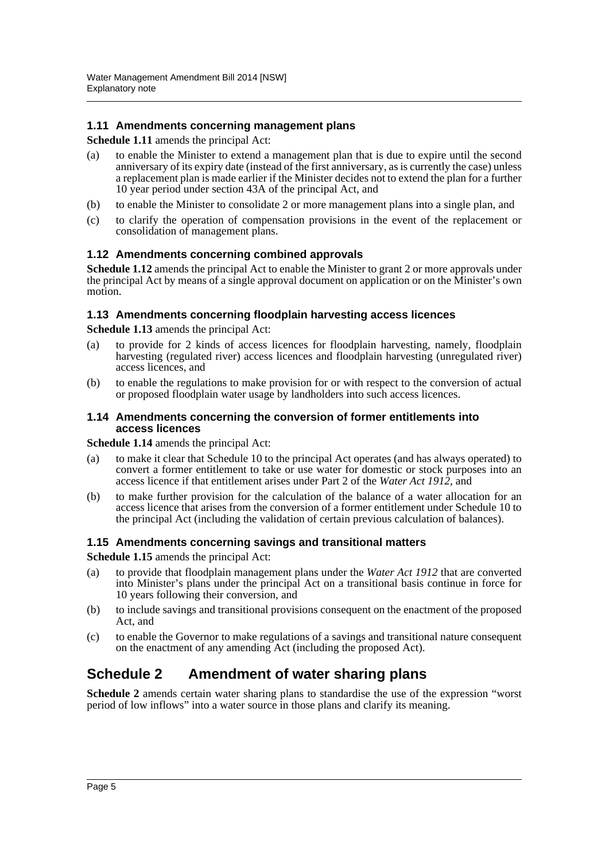#### **1.11 Amendments concerning management plans**

#### **Schedule 1.11** amends the principal Act:

- (a) to enable the Minister to extend a management plan that is due to expire until the second anniversary of its expiry date (instead of the first anniversary, as is currently the case) unless a replacement plan is made earlier if the Minister decides not to extend the plan for a further 10 year period under section 43A of the principal Act, and
- (b) to enable the Minister to consolidate 2 or more management plans into a single plan, and
- (c) to clarify the operation of compensation provisions in the event of the replacement or consolidation of management plans.

#### **1.12 Amendments concerning combined approvals**

**Schedule 1.12** amends the principal Act to enable the Minister to grant 2 or more approvals under the principal Act by means of a single approval document on application or on the Minister's own motion.

#### **1.13 Amendments concerning floodplain harvesting access licences**

**Schedule 1.13** amends the principal Act:

- (a) to provide for 2 kinds of access licences for floodplain harvesting, namely, floodplain harvesting (regulated river) access licences and floodplain harvesting (unregulated river) access licences, and
- (b) to enable the regulations to make provision for or with respect to the conversion of actual or proposed floodplain water usage by landholders into such access licences.

#### **1.14 Amendments concerning the conversion of former entitlements into access licences**

**Schedule 1.14** amends the principal Act:

- (a) to make it clear that Schedule 10 to the principal Act operates (and has always operated) to convert a former entitlement to take or use water for domestic or stock purposes into an access licence if that entitlement arises under Part 2 of the *Water Act 1912*, and
- (b) to make further provision for the calculation of the balance of a water allocation for an access licence that arises from the conversion of a former entitlement under Schedule 10 to the principal Act (including the validation of certain previous calculation of balances).

#### **1.15 Amendments concerning savings and transitional matters**

**Schedule 1.15** amends the principal Act:

- (a) to provide that floodplain management plans under the *Water Act 1912* that are converted into Minister's plans under the principal Act on a transitional basis continue in force for 10 years following their conversion, and
- (b) to include savings and transitional provisions consequent on the enactment of the proposed Act, and
- (c) to enable the Governor to make regulations of a savings and transitional nature consequent on the enactment of any amending Act (including the proposed Act).

### **Schedule 2 Amendment of water sharing plans**

**Schedule 2** amends certain water sharing plans to standardise the use of the expression "worst period of low inflows" into a water source in those plans and clarify its meaning.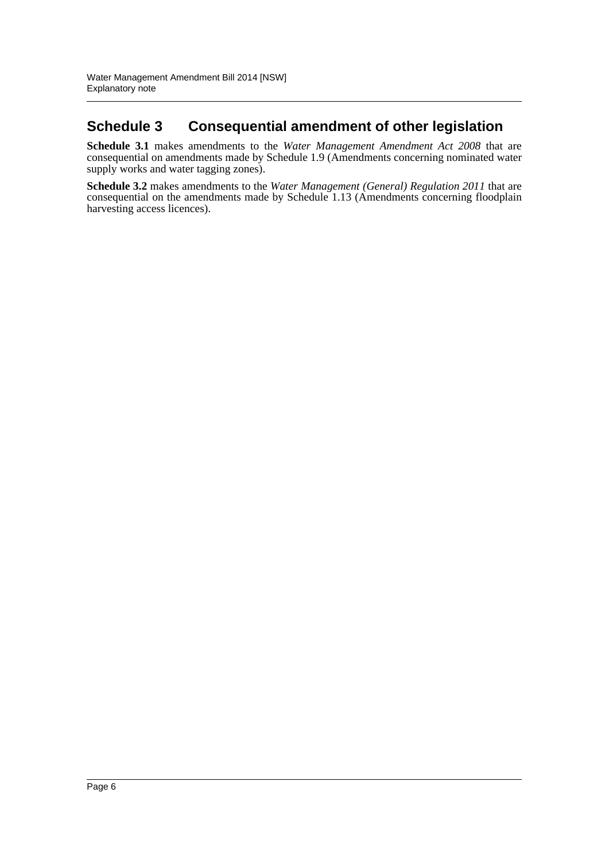## **Schedule 3 Consequential amendment of other legislation**

**Schedule 3.1** makes amendments to the *Water Management Amendment Act 2008* that are consequential on amendments made by Schedule 1.9 (Amendments concerning nominated water supply works and water tagging zones).

**Schedule 3.2** makes amendments to the *Water Management (General) Regulation 2011* that are consequential on the amendments made by Schedule 1.13 (Amendments concerning floodplain harvesting access licences).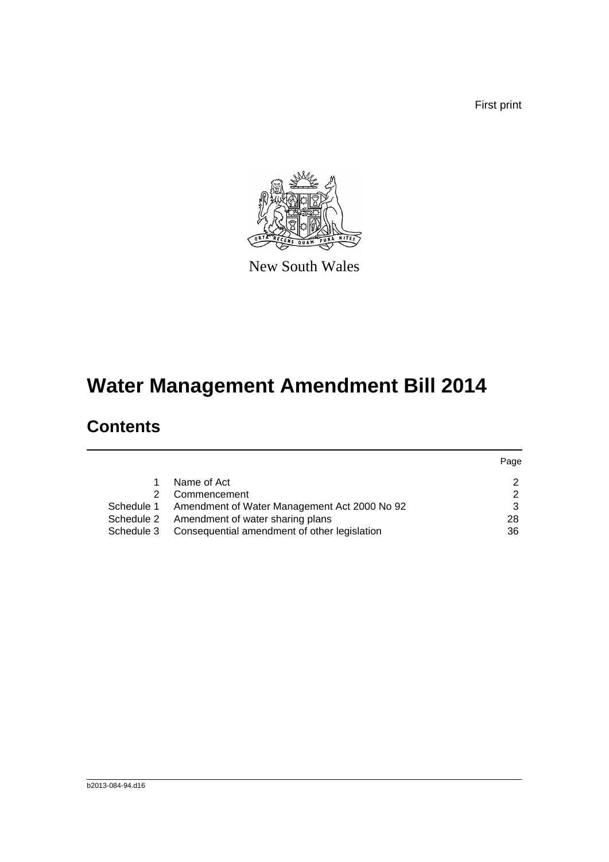First print



New South Wales

# **Water Management Amendment Bill 2014**

# **Contents**

|            |                                                         | Page |
|------------|---------------------------------------------------------|------|
|            | Name of Act                                             |      |
| 2.         | Commencement                                            | າ    |
|            | Schedule 1 Amendment of Water Management Act 2000 No 92 | 3    |
| Schedule 2 | Amendment of water sharing plans                        | 28   |
| Schedule 3 | Consequential amendment of other legislation            | 36   |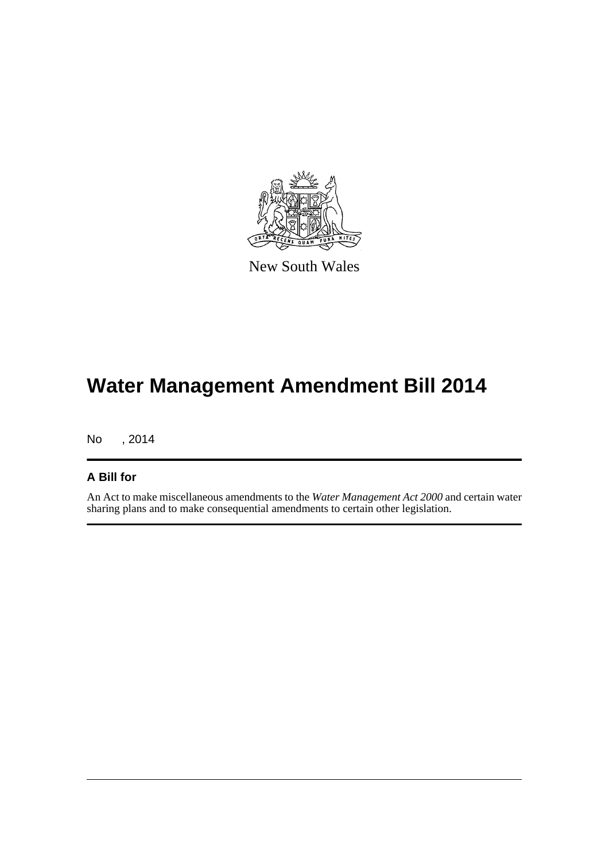

New South Wales

# **Water Management Amendment Bill 2014**

No , 2014

#### **A Bill for**

An Act to make miscellaneous amendments to the *Water Management Act 2000* and certain water sharing plans and to make consequential amendments to certain other legislation.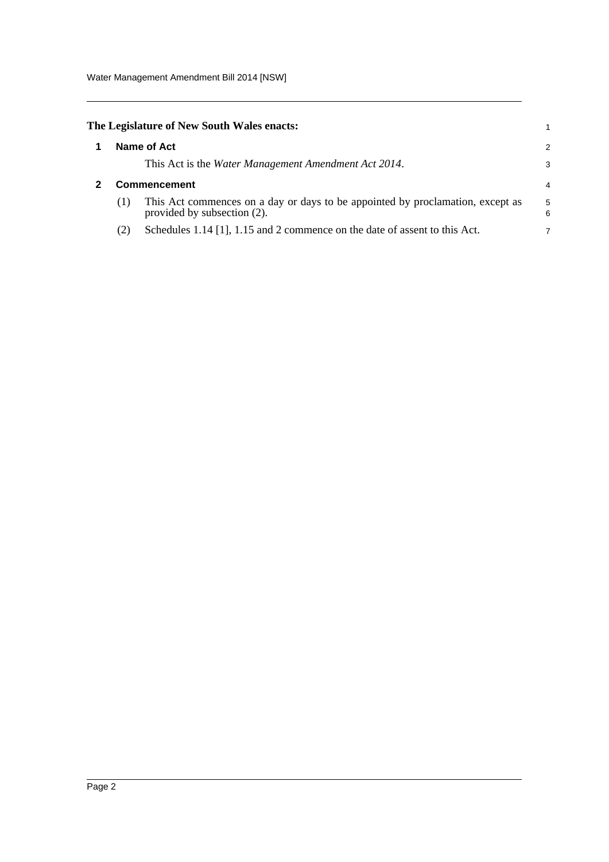<span id="page-8-1"></span><span id="page-8-0"></span>

|                     | The Legislature of New South Wales enacts:                                                                    |        |  |
|---------------------|---------------------------------------------------------------------------------------------------------------|--------|--|
|                     | Name of Act                                                                                                   | 2      |  |
|                     | This Act is the Water Management Amendment Act 2014.                                                          | З      |  |
| <b>Commencement</b> |                                                                                                               |        |  |
| (1)                 | This Act commences on a day or days to be appointed by proclamation, except as<br>provided by subsection (2). | 5<br>6 |  |
| (2)                 | Schedules $1.14$ [1], $1.15$ and 2 commence on the date of assent to this Act.                                | 7      |  |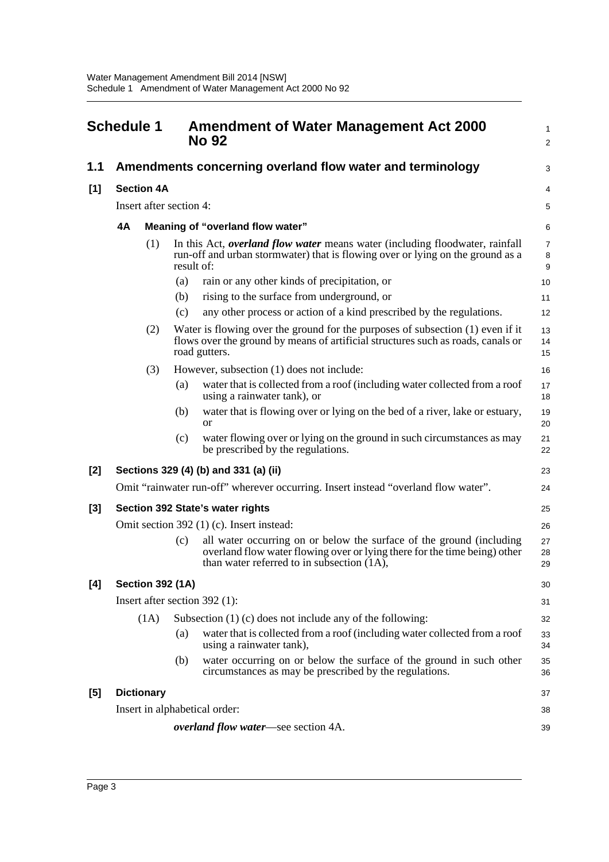<span id="page-9-0"></span>

|       | <b>Schedule 1</b> |                         |            | <b>Amendment of Water Management Act 2000</b><br><b>No 92</b>                                                                                                                                      | $\mathbf{1}$<br>2                       |  |  |
|-------|-------------------|-------------------------|------------|----------------------------------------------------------------------------------------------------------------------------------------------------------------------------------------------------|-----------------------------------------|--|--|
| 1.1   |                   |                         |            | Amendments concerning overland flow water and terminology                                                                                                                                          | 3                                       |  |  |
| [1]   |                   | <b>Section 4A</b>       |            |                                                                                                                                                                                                    |                                         |  |  |
|       |                   | Insert after section 4: |            |                                                                                                                                                                                                    | 5                                       |  |  |
|       | 4A                |                         |            | Meaning of "overland flow water"                                                                                                                                                                   | 6                                       |  |  |
|       |                   | (1)                     | result of: | In this Act, <i>overland flow water</i> means water (including floodwater, rainfall<br>run-off and urban stormwater) that is flowing over or lying on the ground as a                              | $\overline{7}$<br>8<br>$\boldsymbol{9}$ |  |  |
|       |                   |                         | (a)        | rain or any other kinds of precipitation, or                                                                                                                                                       | 10                                      |  |  |
|       |                   |                         | (b)        | rising to the surface from underground, or                                                                                                                                                         | 11                                      |  |  |
|       |                   |                         | (c)        | any other process or action of a kind prescribed by the regulations.                                                                                                                               | 12                                      |  |  |
|       |                   | (2)                     |            | Water is flowing over the ground for the purposes of subsection $(1)$ even if it<br>flows over the ground by means of artificial structures such as roads, canals or<br>road gutters.              | 13<br>14<br>15                          |  |  |
|       |                   | (3)                     |            | However, subsection (1) does not include:                                                                                                                                                          | 16                                      |  |  |
|       |                   |                         | (a)        | water that is collected from a roof (including water collected from a roof<br>using a rainwater tank), or                                                                                          | 17<br>18                                |  |  |
|       |                   |                         | (b)        | water that is flowing over or lying on the bed of a river, lake or estuary,<br><b>or</b>                                                                                                           | 19<br>20                                |  |  |
|       |                   |                         | (c)        | water flowing over or lying on the ground in such circumstances as may<br>be prescribed by the regulations.                                                                                        | 21<br>22                                |  |  |
| $[2]$ |                   |                         |            | Sections 329 (4) (b) and 331 (a) (ii)                                                                                                                                                              | 23                                      |  |  |
|       |                   |                         |            | Omit "rainwater run-off" wherever occurring. Insert instead "overland flow water".                                                                                                                 | 24                                      |  |  |
| $[3]$ |                   |                         |            | Section 392 State's water rights                                                                                                                                                                   | 25                                      |  |  |
|       |                   |                         |            | Omit section 392 (1) (c). Insert instead:                                                                                                                                                          | 26                                      |  |  |
|       |                   |                         | (c)        | all water occurring on or below the surface of the ground (including<br>overland flow water flowing over or lying there for the time being) other<br>than water referred to in subsection $(1A)$ , | 27<br>28<br>29                          |  |  |
| [4]   |                   | <b>Section 392 (1A)</b> |            |                                                                                                                                                                                                    | 30                                      |  |  |
|       |                   |                         |            | Insert after section $392$ (1):                                                                                                                                                                    | 31                                      |  |  |
|       |                   | (1A)                    |            | Subsection $(1)$ (c) does not include any of the following:                                                                                                                                        | 32                                      |  |  |
|       |                   |                         | (a)        | water that is collected from a roof (including water collected from a roof<br>using a rainwater tank),                                                                                             | 33<br>34                                |  |  |
|       |                   |                         | (b)        | water occurring on or below the surface of the ground in such other<br>circumstances as may be prescribed by the regulations.                                                                      | 35<br>36                                |  |  |
| [5]   |                   | <b>Dictionary</b>       |            |                                                                                                                                                                                                    | 37                                      |  |  |
|       |                   |                         |            | Insert in alphabetical order:                                                                                                                                                                      | 38                                      |  |  |
|       |                   |                         |            | <i>overland flow water</i> —see section 4A.                                                                                                                                                        | 39                                      |  |  |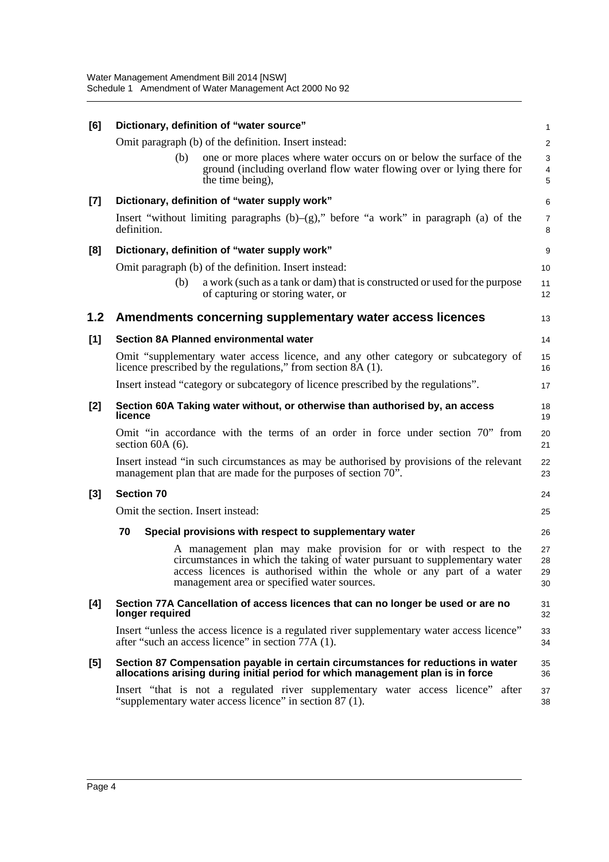| [6]   | Dictionary, definition of "water source"                                                                                                                                                                                                                              | $\mathbf{1}$         |
|-------|-----------------------------------------------------------------------------------------------------------------------------------------------------------------------------------------------------------------------------------------------------------------------|----------------------|
|       | Omit paragraph (b) of the definition. Insert instead:                                                                                                                                                                                                                 | 2                    |
|       | one or more places where water occurs on or below the surface of the<br>(b)<br>ground (including overland flow water flowing over or lying there for<br>the time being),                                                                                              | $\sqrt{3}$<br>4<br>5 |
| $[7]$ | Dictionary, definition of "water supply work"                                                                                                                                                                                                                         | 6                    |
|       | Insert "without limiting paragraphs $(b)$ -(g)," before "a work" in paragraph (a) of the<br>definition.                                                                                                                                                               | 7<br>8               |
| [8]   | Dictionary, definition of "water supply work"                                                                                                                                                                                                                         | $\boldsymbol{9}$     |
|       | Omit paragraph (b) of the definition. Insert instead:                                                                                                                                                                                                                 | 10                   |
|       | a work (such as a tank or dam) that is constructed or used for the purpose<br>(b)<br>of capturing or storing water, or                                                                                                                                                | 11<br>12             |
| 1.2   | Amendments concerning supplementary water access licences                                                                                                                                                                                                             | 13                   |
| [1]   | Section 8A Planned environmental water                                                                                                                                                                                                                                | 14                   |
|       | Omit "supplementary water access licence, and any other category or subcategory of<br>licence prescribed by the regulations," from section 8A (1).                                                                                                                    | 15<br>16             |
|       | Insert instead "category or subcategory of licence prescribed by the regulations".                                                                                                                                                                                    | 17                   |
| $[2]$ | Section 60A Taking water without, or otherwise than authorised by, an access<br>licence                                                                                                                                                                               | 18<br>19             |
|       | Omit "in accordance with the terms of an order in force under section 70" from<br>section $60A(6)$ .                                                                                                                                                                  | 20<br>21             |
|       | Insert instead "in such circumstances as may be authorised by provisions of the relevant<br>management plan that are made for the purposes of section 70".                                                                                                            | 22<br>23             |
| $[3]$ | <b>Section 70</b>                                                                                                                                                                                                                                                     | 24                   |
|       | Omit the section. Insert instead:                                                                                                                                                                                                                                     | 25                   |
|       | 70<br>Special provisions with respect to supplementary water                                                                                                                                                                                                          | 26                   |
|       | A management plan may make provision for or with respect to the<br>circumstances in which the taking of water pursuant to supplementary water<br>access licences is authorised within the whole or any part of a water<br>management area or specified water sources. | 27<br>28<br>29<br>30 |
| [4]   | Section 77A Cancellation of access licences that can no longer be used or are no<br>longer required                                                                                                                                                                   | 31<br>32             |
|       | Insert "unless the access licence is a regulated river supplementary water access licence"<br>after "such an access licence" in section 77A (1).                                                                                                                      | 33<br>34             |
| [5]   | Section 87 Compensation payable in certain circumstances for reductions in water<br>allocations arising during initial period for which management plan is in force                                                                                                   | 35<br>36             |
|       | Insert "that is not a regulated river supplementary water access licence" after<br>"supplementary water access licence" in section 87 (1).                                                                                                                            | 37<br>38             |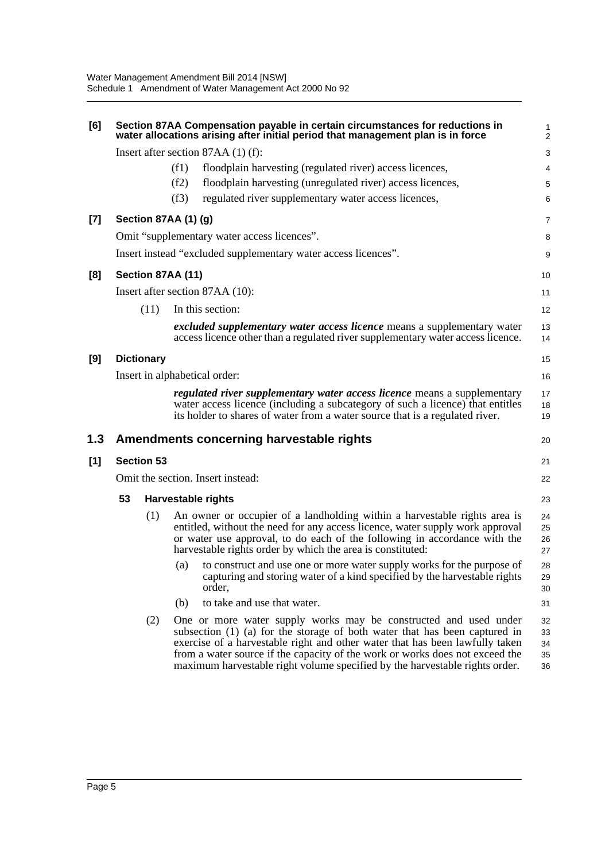| [6]   |                                   |                   |                      | Section 87AA Compensation payable in certain circumstances for reductions in<br>water allocations arising after initial period that management plan is in force                                                                                                                                                                                                                                   | $\mathbf{1}$<br>$\overline{c}$ |
|-------|-----------------------------------|-------------------|----------------------|---------------------------------------------------------------------------------------------------------------------------------------------------------------------------------------------------------------------------------------------------------------------------------------------------------------------------------------------------------------------------------------------------|--------------------------------|
|       |                                   |                   |                      | Insert after section $87AA(1)$ (f):                                                                                                                                                                                                                                                                                                                                                               | 3                              |
|       |                                   |                   | (f1)                 | floodplain harvesting (regulated river) access licences,                                                                                                                                                                                                                                                                                                                                          | 4                              |
|       |                                   |                   | (f2)                 | floodplain harvesting (unregulated river) access licences,                                                                                                                                                                                                                                                                                                                                        | 5                              |
|       |                                   |                   | (f3)                 | regulated river supplementary water access licences,                                                                                                                                                                                                                                                                                                                                              | 6                              |
| $[7]$ |                                   |                   | Section 87AA (1) (g) |                                                                                                                                                                                                                                                                                                                                                                                                   | 7                              |
|       |                                   |                   |                      | Omit "supplementary water access licences".                                                                                                                                                                                                                                                                                                                                                       | 8                              |
|       |                                   |                   |                      | Insert instead "excluded supplementary water access licences".                                                                                                                                                                                                                                                                                                                                    | 9                              |
| [8]   |                                   |                   | Section 87AA (11)    |                                                                                                                                                                                                                                                                                                                                                                                                   | 10                             |
|       |                                   |                   |                      | Insert after section 87AA (10):                                                                                                                                                                                                                                                                                                                                                                   | 11                             |
|       |                                   | (11)              |                      | In this section:                                                                                                                                                                                                                                                                                                                                                                                  | 12                             |
|       |                                   |                   |                      | <i>excluded supplementary water access licence</i> means a supplementary water<br>access licence other than a regulated river supplementary water access licence.                                                                                                                                                                                                                                 | 13<br>14                       |
| [9]   |                                   | <b>Dictionary</b> |                      |                                                                                                                                                                                                                                                                                                                                                                                                   | 15                             |
|       |                                   |                   |                      | Insert in alphabetical order:                                                                                                                                                                                                                                                                                                                                                                     | 16                             |
|       |                                   |                   |                      | <i>regulated river supplementary water access licence</i> means a supplementary<br>water access licence (including a subcategory of such a licence) that entitles<br>its holder to shares of water from a water source that is a regulated river.                                                                                                                                                 | 17<br>18<br>19                 |
| 1.3   |                                   |                   |                      | Amendments concerning harvestable rights                                                                                                                                                                                                                                                                                                                                                          | 20                             |
| [1]   |                                   | <b>Section 53</b> |                      |                                                                                                                                                                                                                                                                                                                                                                                                   | 21                             |
|       | Omit the section. Insert instead: |                   |                      |                                                                                                                                                                                                                                                                                                                                                                                                   | 22                             |
|       | 53                                |                   |                      | <b>Harvestable rights</b>                                                                                                                                                                                                                                                                                                                                                                         | 23                             |
|       |                                   | (1)               |                      | An owner or occupier of a landholding within a harvestable rights area is<br>entitled, without the need for any access licence, water supply work approval<br>or water use approval, to do each of the following in accordance with the<br>harvestable rights order by which the area is constituted:                                                                                             | 24<br>25<br>26<br>27           |
|       |                                   |                   | (a)                  | to construct and use one or more water supply works for the purpose of<br>capturing and storing water of a kind specified by the harvestable rights<br>order.                                                                                                                                                                                                                                     | 28<br>29<br>30                 |
|       |                                   |                   | (b)                  | to take and use that water.                                                                                                                                                                                                                                                                                                                                                                       | 31                             |
|       |                                   | (2)               |                      | One or more water supply works may be constructed and used under<br>subsection $(1)$ $(a)$ for the storage of both water that has been captured in<br>exercise of a harvestable right and other water that has been lawfully taken<br>from a water source if the capacity of the work or works does not exceed the<br>maximum harvestable right volume specified by the harvestable rights order. | 32<br>33<br>34<br>35<br>36     |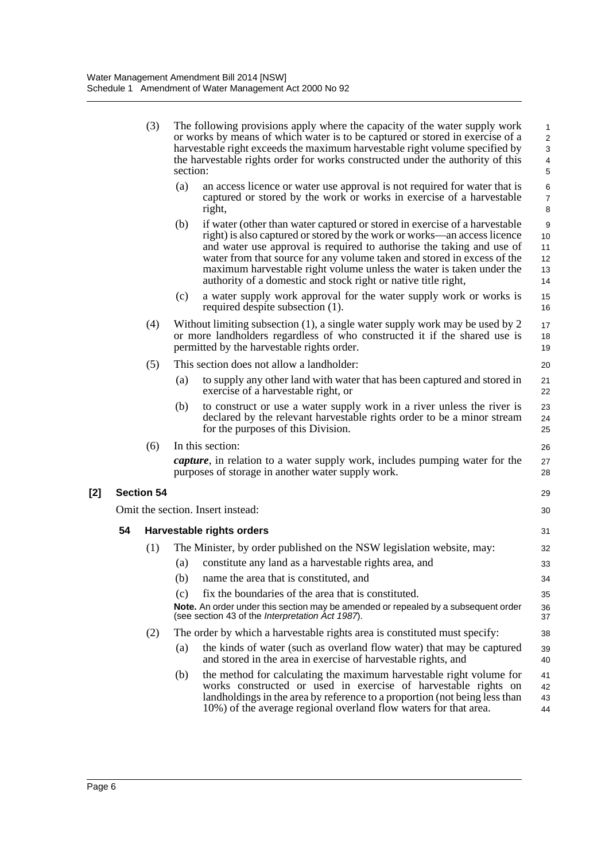|       |    | (3)               | section: | The following provisions apply where the capacity of the water supply work<br>or works by means of which water is to be captured or stored in exercise of a<br>harvestable right exceeds the maximum harvestable right volume specified by<br>the harvestable rights order for works constructed under the authority of this                                                                                                                         | 1<br>$\sqrt{2}$<br>3<br>$\overline{\mathbf{4}}$<br>5 |
|-------|----|-------------------|----------|------------------------------------------------------------------------------------------------------------------------------------------------------------------------------------------------------------------------------------------------------------------------------------------------------------------------------------------------------------------------------------------------------------------------------------------------------|------------------------------------------------------|
|       |    |                   | (a)      | an access licence or water use approval is not required for water that is<br>captured or stored by the work or works in exercise of a harvestable<br>right,                                                                                                                                                                                                                                                                                          | 6<br>$\boldsymbol{7}$<br>8                           |
|       |    |                   | (b)      | if water (other than water captured or stored in exercise of a harvestable<br>right) is also captured or stored by the work or works—an access licence<br>and water use approval is required to authorise the taking and use of<br>water from that source for any volume taken and stored in excess of the<br>maximum harvestable right volume unless the water is taken under the<br>authority of a domestic and stock right or native title right, | 9<br>10<br>11<br>12<br>13<br>14                      |
|       |    |                   | (c)      | a water supply work approval for the water supply work or works is<br>required despite subsection (1).                                                                                                                                                                                                                                                                                                                                               | 15<br>16                                             |
|       |    | (4)               |          | Without limiting subsection $(1)$ , a single water supply work may be used by 2<br>or more landholders regardless of who constructed it if the shared use is<br>permitted by the harvestable rights order.                                                                                                                                                                                                                                           | 17<br>18<br>19                                       |
|       |    | (5)               |          | This section does not allow a landholder:                                                                                                                                                                                                                                                                                                                                                                                                            | 20                                                   |
|       |    |                   | (a)      | to supply any other land with water that has been captured and stored in<br>exercise of a harvestable right, or                                                                                                                                                                                                                                                                                                                                      | 21<br>22                                             |
|       |    |                   | (b)      | to construct or use a water supply work in a river unless the river is<br>declared by the relevant harvestable rights order to be a minor stream<br>for the purposes of this Division.                                                                                                                                                                                                                                                               | 23<br>24<br>25                                       |
|       |    | (6)               |          | In this section:                                                                                                                                                                                                                                                                                                                                                                                                                                     | 26                                                   |
|       |    |                   |          | <i>capture</i> , in relation to a water supply work, includes pumping water for the<br>purposes of storage in another water supply work.                                                                                                                                                                                                                                                                                                             | 27<br>28                                             |
| $[2]$ |    | <b>Section 54</b> |          |                                                                                                                                                                                                                                                                                                                                                                                                                                                      | 29                                                   |
|       |    |                   |          | Omit the section. Insert instead:                                                                                                                                                                                                                                                                                                                                                                                                                    | 30                                                   |
|       | 54 |                   |          | Harvestable rights orders                                                                                                                                                                                                                                                                                                                                                                                                                            | 31                                                   |
|       |    | (1)               |          | The Minister, by order published on the NSW legislation website, may:                                                                                                                                                                                                                                                                                                                                                                                | 32                                                   |
|       |    |                   | (a)      | constitute any land as a harvestable rights area, and                                                                                                                                                                                                                                                                                                                                                                                                | 33                                                   |
|       |    |                   | (b)      | name the area that is constituted, and                                                                                                                                                                                                                                                                                                                                                                                                               | 34                                                   |
|       |    |                   | (c)      | fix the boundaries of the area that is constituted.                                                                                                                                                                                                                                                                                                                                                                                                  | 35                                                   |
|       |    |                   |          | Note. An order under this section may be amended or repealed by a subsequent order<br>(see section 43 of the Interpretation Act 1987).                                                                                                                                                                                                                                                                                                               | 36<br>37                                             |
|       |    | (2)               |          | The order by which a harvestable rights area is constituted must specify:                                                                                                                                                                                                                                                                                                                                                                            | 38                                                   |
|       |    |                   | (a)      | the kinds of water (such as overland flow water) that may be captured<br>and stored in the area in exercise of harvestable rights, and                                                                                                                                                                                                                                                                                                               | 39<br>40                                             |
|       |    |                   | (b)      | the method for calculating the maximum harvestable right volume for<br>works constructed or used in exercise of harvestable rights on<br>landholdings in the area by reference to a proportion (not being less than<br>10%) of the average regional overland flow waters for that area.                                                                                                                                                              | 41<br>42<br>43<br>44                                 |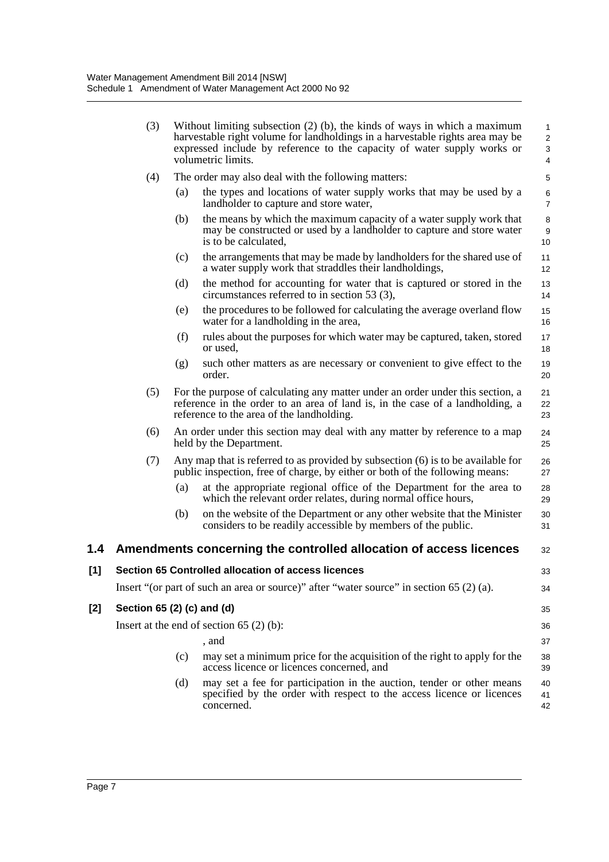|     | (3)                        |     | Without limiting subsection $(2)$ (b), the kinds of ways in which a maximum<br>harvestable right volume for landholdings in a harvestable rights area may be<br>expressed include by reference to the capacity of water supply works or<br>volumetric limits. | $\mathbf{1}$<br>$\sqrt{2}$<br>$\ensuremath{\mathsf{3}}$<br>4 |
|-----|----------------------------|-----|---------------------------------------------------------------------------------------------------------------------------------------------------------------------------------------------------------------------------------------------------------------|--------------------------------------------------------------|
|     | (4)                        |     | The order may also deal with the following matters:                                                                                                                                                                                                           | $\mathbf 5$                                                  |
|     |                            | (a) | the types and locations of water supply works that may be used by a<br>landholder to capture and store water,                                                                                                                                                 | 6<br>$\overline{7}$                                          |
|     |                            | (b) | the means by which the maximum capacity of a water supply work that<br>may be constructed or used by a landholder to capture and store water<br>is to be calculated,                                                                                          | 8<br>$\boldsymbol{9}$<br>10                                  |
|     |                            | (c) | the arrangements that may be made by landholders for the shared use of<br>a water supply work that straddles their landholdings,                                                                                                                              | 11<br>12                                                     |
|     |                            | (d) | the method for accounting for water that is captured or stored in the<br>circumstances referred to in section 53 (3),                                                                                                                                         | 13<br>14                                                     |
|     |                            | (e) | the procedures to be followed for calculating the average overland flow<br>water for a landholding in the area,                                                                                                                                               | 15<br>16                                                     |
|     |                            | (f) | rules about the purposes for which water may be captured, taken, stored<br>or used,                                                                                                                                                                           | 17<br>18                                                     |
|     |                            | (g) | such other matters as are necessary or convenient to give effect to the<br>order.                                                                                                                                                                             | 19<br>20                                                     |
|     | (5)                        |     | For the purpose of calculating any matter under an order under this section, a<br>reference in the order to an area of land is, in the case of a landholding, a<br>reference to the area of the landholding.                                                  | 21<br>22<br>23                                               |
|     | (6)                        |     | An order under this section may deal with any matter by reference to a map<br>held by the Department.                                                                                                                                                         | 24<br>25                                                     |
|     | (7)                        |     | Any map that is referred to as provided by subsection (6) is to be available for<br>public inspection, free of charge, by either or both of the following means:                                                                                              | 26<br>27                                                     |
|     |                            | (a) | at the appropriate regional office of the Department for the area to<br>which the relevant order relates, during normal office hours,                                                                                                                         | 28<br>29                                                     |
|     |                            | (b) | on the website of the Department or any other website that the Minister<br>considers to be readily accessible by members of the public.                                                                                                                       | 30<br>31                                                     |
| 1.4 |                            |     | Amendments concerning the controlled allocation of access licences                                                                                                                                                                                            | 32                                                           |
| [1] |                            |     | Section 65 Controlled allocation of access licences                                                                                                                                                                                                           | 33                                                           |
|     |                            |     | Insert "(or part of such an area or source)" after "water source" in section $65(2)(a)$ .                                                                                                                                                                     | 34                                                           |
| [2] | Section 65 (2) (c) and (d) |     |                                                                                                                                                                                                                                                               | 35                                                           |
|     |                            |     | Insert at the end of section $65(2)(b)$ :                                                                                                                                                                                                                     | 36                                                           |
|     |                            |     | , and                                                                                                                                                                                                                                                         | 37                                                           |
|     |                            | (c) | may set a minimum price for the acquisition of the right to apply for the<br>access licence or licences concerned, and                                                                                                                                        | 38<br>39                                                     |
|     |                            | (d) | may set a fee for participation in the auction, tender or other means<br>specified by the order with respect to the access licence or licences<br>concerned.                                                                                                  | 40<br>41<br>42                                               |
|     |                            |     |                                                                                                                                                                                                                                                               |                                                              |

 $[2]$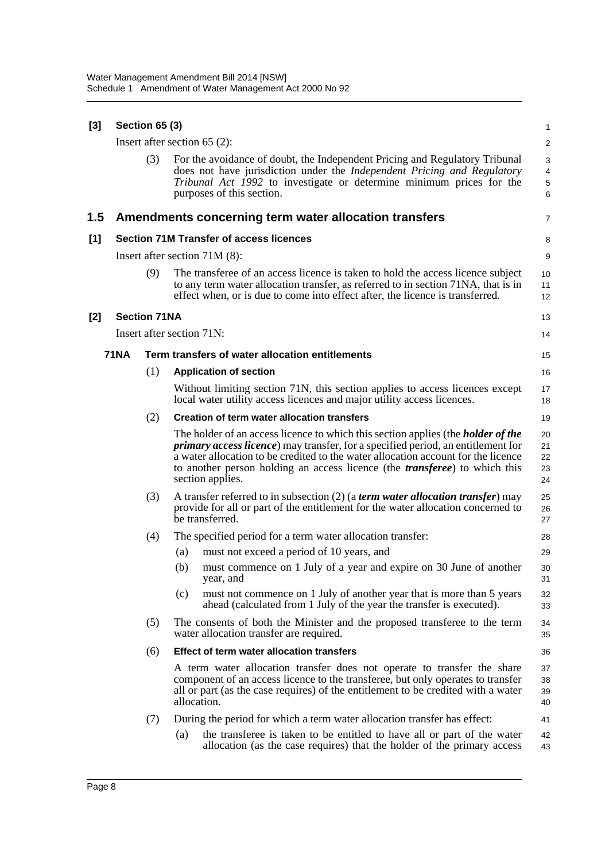| [3]     |             | <b>Section 65 (3)</b> |                                                                                                                                                                                                                                                                                                                                                                                    | $\mathbf{1}$                           |
|---------|-------------|-----------------------|------------------------------------------------------------------------------------------------------------------------------------------------------------------------------------------------------------------------------------------------------------------------------------------------------------------------------------------------------------------------------------|----------------------------------------|
|         |             |                       | Insert after section $65$ (2):                                                                                                                                                                                                                                                                                                                                                     | $\overline{2}$                         |
|         |             | (3)                   | For the avoidance of doubt, the Independent Pricing and Regulatory Tribunal<br>does not have jurisdiction under the Independent Pricing and Regulatory<br>Tribunal Act 1992 to investigate or determine minimum prices for the<br>purposes of this section.                                                                                                                        | 3<br>$\overline{4}$<br>$\sqrt{5}$<br>6 |
| $1.5\,$ |             |                       | Amendments concerning term water allocation transfers                                                                                                                                                                                                                                                                                                                              | $\overline{7}$                         |
| $[1]$   |             |                       | <b>Section 71M Transfer of access licences</b>                                                                                                                                                                                                                                                                                                                                     | 8                                      |
|         |             |                       | Insert after section $71M(8)$ :                                                                                                                                                                                                                                                                                                                                                    | 9                                      |
|         |             | (9)                   | The transferee of an access licence is taken to hold the access licence subject<br>to any term water allocation transfer, as referred to in section 71NA, that is in<br>effect when, or is due to come into effect after, the licence is transferred.                                                                                                                              | 10<br>11<br>12                         |
| [2]     |             | <b>Section 71NA</b>   |                                                                                                                                                                                                                                                                                                                                                                                    | 13                                     |
|         |             |                       | Insert after section 71N:                                                                                                                                                                                                                                                                                                                                                          | 14                                     |
|         | <b>71NA</b> |                       | Term transfers of water allocation entitlements                                                                                                                                                                                                                                                                                                                                    | 15                                     |
|         |             | (1)                   | <b>Application of section</b>                                                                                                                                                                                                                                                                                                                                                      | 16                                     |
|         |             |                       | Without limiting section 71N, this section applies to access licences except<br>local water utility access licences and major utility access licences.                                                                                                                                                                                                                             | 17<br>18                               |
|         |             | (2)                   | <b>Creation of term water allocation transfers</b>                                                                                                                                                                                                                                                                                                                                 | 19                                     |
|         |             |                       | The holder of an access licence to which this section applies (the <i>holder of the</i><br><i>primary access licence</i> ) may transfer, for a specified period, an entitlement for<br>a water allocation to be credited to the water allocation account for the licence<br>to another person holding an access licence (the <i>transferee</i> ) to which this<br>section applies. | 20<br>21<br>22<br>23<br>24             |
|         |             | (3)                   | A transfer referred to in subsection (2) (a <i>term water allocation transfer</i> ) may<br>provide for all or part of the entitlement for the water allocation concerned to<br>be transferred.                                                                                                                                                                                     | 25<br>26<br>27                         |
|         |             | (4)                   | The specified period for a term water allocation transfer:                                                                                                                                                                                                                                                                                                                         | 28                                     |
|         |             |                       | (a)<br>must not exceed a period of 10 years, and                                                                                                                                                                                                                                                                                                                                   | 29                                     |
|         |             |                       | must commence on 1 July of a year and expire on 30 June of another<br>(b)<br>year, and                                                                                                                                                                                                                                                                                             | 30<br>31                               |
|         |             |                       | must not commence on 1 July of another year that is more than 5 years<br>(c)<br>ahead (calculated from 1 July of the year the transfer is executed).                                                                                                                                                                                                                               | 32<br>33                               |
|         |             | (5)                   | The consents of both the Minister and the proposed transferee to the term<br>water allocation transfer are required.                                                                                                                                                                                                                                                               | 34<br>35                               |
|         |             | (6)                   | Effect of term water allocation transfers                                                                                                                                                                                                                                                                                                                                          | 36                                     |
|         |             |                       | A term water allocation transfer does not operate to transfer the share<br>component of an access licence to the transferee, but only operates to transfer<br>all or part (as the case requires) of the entitlement to be credited with a water<br>allocation.                                                                                                                     | 37<br>38<br>39<br>40                   |
|         |             | (7)                   | During the period for which a term water allocation transfer has effect:                                                                                                                                                                                                                                                                                                           | 41                                     |
|         |             |                       | the transferee is taken to be entitled to have all or part of the water<br>$\left( a\right)$<br>allocation (as the case requires) that the holder of the primary access                                                                                                                                                                                                            | 42<br>43                               |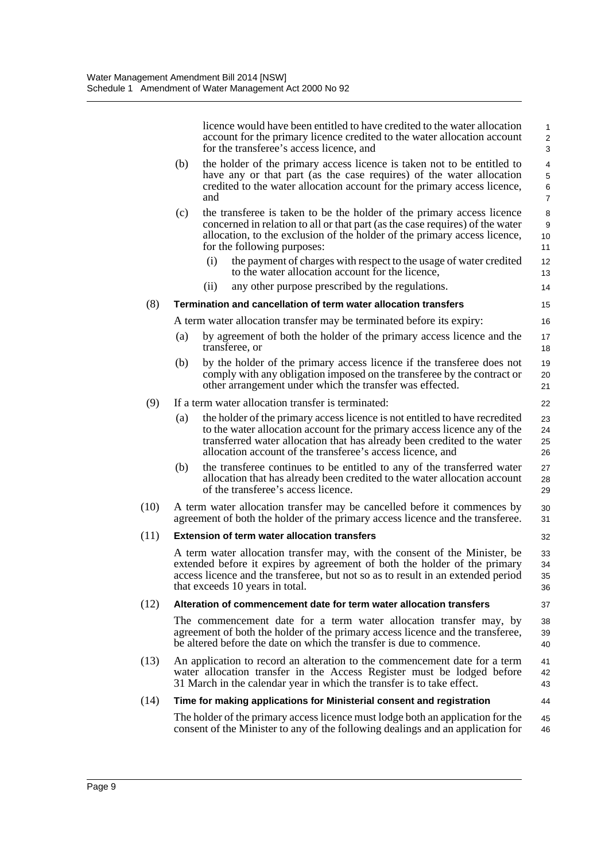|      |     | licence would have been entitled to have credited to the water allocation<br>account for the primary licence credited to the water allocation account<br>for the transferee's access licence, and                                                                                                                                                                                                    | $\mathbf{1}$<br>$\overline{\mathbf{c}}$<br>3        |
|------|-----|------------------------------------------------------------------------------------------------------------------------------------------------------------------------------------------------------------------------------------------------------------------------------------------------------------------------------------------------------------------------------------------------------|-----------------------------------------------------|
|      | (b) | the holder of the primary access licence is taken not to be entitled to<br>have any or that part (as the case requires) of the water allocation<br>credited to the water allocation account for the primary access licence,<br>and                                                                                                                                                                   | $\overline{\mathbf{4}}$<br>5<br>6<br>$\overline{7}$ |
|      | (c) | the transferee is taken to be the holder of the primary access licence<br>concerned in relation to all or that part (as the case requires) of the water<br>allocation, to the exclusion of the holder of the primary access licence,<br>for the following purposes:<br>the payment of charges with respect to the usage of water credited<br>(i)<br>to the water allocation account for the licence, | 8<br>9<br>10<br>11<br>12<br>13                      |
|      |     | (ii)<br>any other purpose prescribed by the regulations.                                                                                                                                                                                                                                                                                                                                             | 14                                                  |
| (8)  |     | Termination and cancellation of term water allocation transfers                                                                                                                                                                                                                                                                                                                                      | 15                                                  |
|      |     | A term water allocation transfer may be terminated before its expiry:                                                                                                                                                                                                                                                                                                                                | 16                                                  |
|      | (a) | by agreement of both the holder of the primary access licence and the<br>transferee, or                                                                                                                                                                                                                                                                                                              | 17<br>18                                            |
|      | (b) | by the holder of the primary access licence if the transferee does not<br>comply with any obligation imposed on the transferee by the contract or<br>other arrangement under which the transfer was effected.                                                                                                                                                                                        | 19<br>20<br>21                                      |
| (9)  |     | If a term water allocation transfer is terminated:                                                                                                                                                                                                                                                                                                                                                   | 22                                                  |
|      | (a) | the holder of the primary access licence is not entitled to have recredited<br>to the water allocation account for the primary access licence any of the<br>transferred water allocation that has already been credited to the water<br>allocation account of the transferee's access licence, and                                                                                                   | 23<br>24<br>25<br>26                                |
|      | (b) | the transferee continues to be entitled to any of the transferred water<br>allocation that has already been credited to the water allocation account<br>of the transferee's access licence.                                                                                                                                                                                                          | 27<br>28<br>29                                      |
| (10) |     | A term water allocation transfer may be cancelled before it commences by<br>agreement of both the holder of the primary access licence and the transferee.                                                                                                                                                                                                                                           | 30<br>31                                            |
| (11) |     | <b>Extension of term water allocation transfers</b>                                                                                                                                                                                                                                                                                                                                                  | 32                                                  |
|      |     | A term water allocation transfer may, with the consent of the Minister, be<br>extended before it expires by agreement of both the holder of the primary<br>access licence and the transferee, but not so as to result in an extended period<br>that exceeds 10 years in total.                                                                                                                       | 33<br>34<br>35<br>36                                |
| (12) |     | Alteration of commencement date for term water allocation transfers                                                                                                                                                                                                                                                                                                                                  | 37                                                  |
|      |     | The commencement date for a term water allocation transfer may, by<br>agreement of both the holder of the primary access licence and the transferee,<br>be altered before the date on which the transfer is due to commence.                                                                                                                                                                         | 38<br>39<br>40                                      |
| (13) |     | An application to record an alteration to the commencement date for a term<br>water allocation transfer in the Access Register must be lodged before<br>31 March in the calendar year in which the transfer is to take effect.                                                                                                                                                                       | 41<br>42<br>43                                      |
| (14) |     | Time for making applications for Ministerial consent and registration                                                                                                                                                                                                                                                                                                                                | 44                                                  |
|      |     | The holder of the primary access licence must lodge both an application for the<br>consent of the Minister to any of the following dealings and an application for                                                                                                                                                                                                                                   | 45<br>46                                            |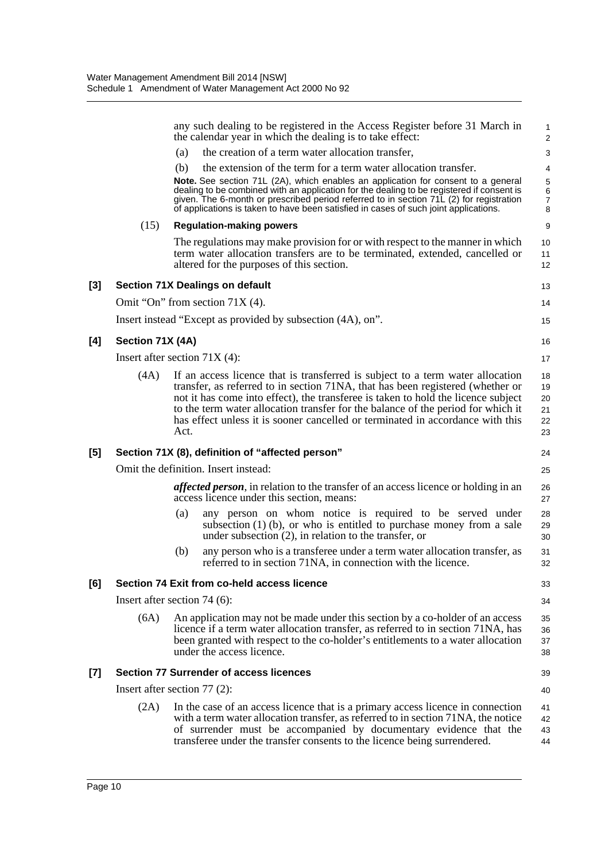|          |                                 |      | any such dealing to be registered in the Access Register before 31 March in<br>the calendar year in which the dealing is to take effect:                                                                                                                                                                                                                                                                                    | 1<br>$\overline{2}$              |
|----------|---------------------------------|------|-----------------------------------------------------------------------------------------------------------------------------------------------------------------------------------------------------------------------------------------------------------------------------------------------------------------------------------------------------------------------------------------------------------------------------|----------------------------------|
|          |                                 | (a)  | the creation of a term water allocation transfer,                                                                                                                                                                                                                                                                                                                                                                           | 3                                |
|          |                                 | (b)  | the extension of the term for a term water allocation transfer.                                                                                                                                                                                                                                                                                                                                                             | 4                                |
|          |                                 |      | Note. See section 71L (2A), which enables an application for consent to a general<br>dealing to be combined with an application for the dealing to be registered if consent is<br>given. The 6-month or prescribed period referred to in section 71L (2) for registration<br>of applications is taken to have been satisfied in cases of such joint applications.                                                           | 5<br>6<br>$\boldsymbol{7}$<br>8  |
|          | (15)                            |      | <b>Regulation-making powers</b>                                                                                                                                                                                                                                                                                                                                                                                             | 9                                |
|          |                                 |      | The regulations may make provision for or with respect to the manner in which<br>term water allocation transfers are to be terminated, extended, cancelled or<br>altered for the purposes of this section.                                                                                                                                                                                                                  | 10<br>11<br>12                   |
| $^{[3]}$ |                                 |      | <b>Section 71X Dealings on default</b>                                                                                                                                                                                                                                                                                                                                                                                      | 13                               |
|          |                                 |      | Omit "On" from section $71X(4)$ .                                                                                                                                                                                                                                                                                                                                                                                           | 14                               |
|          |                                 |      | Insert instead "Except as provided by subsection (4A), on".                                                                                                                                                                                                                                                                                                                                                                 | 15                               |
| [4]      | Section 71X (4A)                |      |                                                                                                                                                                                                                                                                                                                                                                                                                             | 16                               |
|          | Insert after section $71X(4)$ : |      |                                                                                                                                                                                                                                                                                                                                                                                                                             | 17                               |
|          | (4A)                            | Act. | If an access licence that is transferred is subject to a term water allocation<br>transfer, as referred to in section 71NA, that has been registered (whether or<br>not it has come into effect), the transferee is taken to hold the licence subject<br>to the term water allocation transfer for the balance of the period for which it<br>has effect unless it is sooner cancelled or terminated in accordance with this | 18<br>19<br>20<br>21<br>22<br>23 |
| [5]      |                                 |      | Section 71X (8), definition of "affected person"                                                                                                                                                                                                                                                                                                                                                                            | 24                               |
|          |                                 |      | Omit the definition. Insert instead:                                                                                                                                                                                                                                                                                                                                                                                        | 25                               |
|          |                                 |      | <i>affected person</i> , in relation to the transfer of an access licence or holding in an<br>access licence under this section, means:                                                                                                                                                                                                                                                                                     | 26<br>27                         |
|          |                                 | (a)  | any person on whom notice is required to be served under<br>subsection $(1)$ (b), or who is entitled to purchase money from a sale<br>under subsection $(2)$ , in relation to the transfer, or                                                                                                                                                                                                                              | 28<br>29<br>30                   |
|          |                                 | (b)  | any person who is a transferee under a term water allocation transfer, as<br>referred to in section 71NA, in connection with the licence.                                                                                                                                                                                                                                                                                   | 31<br>32                         |
| [6]      |                                 |      | Section 74 Exit from co-held access licence                                                                                                                                                                                                                                                                                                                                                                                 | 33                               |
|          | Insert after section $74(6)$ :  |      |                                                                                                                                                                                                                                                                                                                                                                                                                             | 34                               |
|          | (6A)                            |      | An application may not be made under this section by a co-holder of an access<br>licence if a term water allocation transfer, as referred to in section 71NA, has<br>been granted with respect to the co-holder's entitlements to a water allocation<br>under the access licence.                                                                                                                                           | 35<br>36<br>37<br>38             |
| [7]      |                                 |      | <b>Section 77 Surrender of access licences</b>                                                                                                                                                                                                                                                                                                                                                                              | 39                               |
|          | Insert after section $77(2)$ :  |      |                                                                                                                                                                                                                                                                                                                                                                                                                             | 40                               |
|          | (2A)                            |      | In the case of an access licence that is a primary access licence in connection<br>with a term water allocation transfer, as referred to in section 71NA, the notice<br>of surrender must be accompanied by documentary evidence that the<br>transferee under the transfer consents to the licence being surrendered.                                                                                                       | 41<br>42<br>43<br>44             |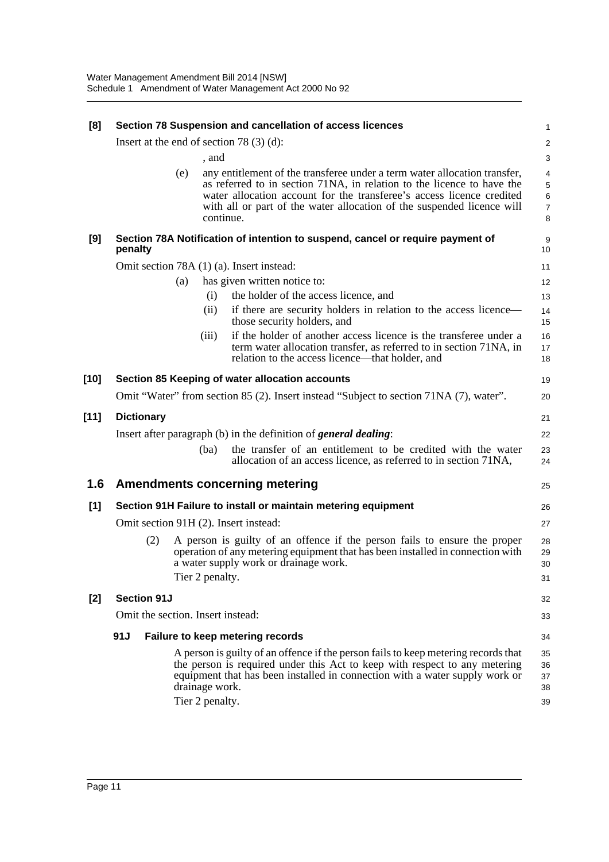| [8]    |                                   | Section 78 Suspension and cancellation of access licences                                                                                                                                                                                                                                                           | 1                                  |
|--------|-----------------------------------|---------------------------------------------------------------------------------------------------------------------------------------------------------------------------------------------------------------------------------------------------------------------------------------------------------------------|------------------------------------|
|        |                                   | Insert at the end of section 78 $(3)$ $(d)$ :                                                                                                                                                                                                                                                                       | $\overline{\mathbf{c}}$            |
|        |                                   | , and                                                                                                                                                                                                                                                                                                               | 3                                  |
|        | (e)                               | any entitlement of the transferee under a term water allocation transfer,<br>as referred to in section 71NA, in relation to the licence to have the<br>water allocation account for the transferee's access licence credited<br>with all or part of the water allocation of the suspended licence will<br>continue. | 4<br>5<br>6<br>$\overline{7}$<br>8 |
| [9]    | penalty                           | Section 78A Notification of intention to suspend, cancel or require payment of                                                                                                                                                                                                                                      | 9<br>10                            |
|        |                                   | Omit section 78A (1) (a). Insert instead:                                                                                                                                                                                                                                                                           | 11                                 |
|        | (a)                               | has given written notice to:                                                                                                                                                                                                                                                                                        | 12                                 |
|        |                                   | the holder of the access licence, and<br>(i)                                                                                                                                                                                                                                                                        | 13                                 |
|        |                                   | if there are security holders in relation to the access licence—<br>(ii)<br>those security holders, and                                                                                                                                                                                                             | 14<br>15                           |
|        |                                   | if the holder of another access licence is the transferee under a<br>(iii)<br>term water allocation transfer, as referred to in section 71NA, in<br>relation to the access licence—that holder, and                                                                                                                 | 16<br>17<br>18                     |
| $[10]$ |                                   | Section 85 Keeping of water allocation accounts                                                                                                                                                                                                                                                                     | 19                                 |
|        |                                   | Omit "Water" from section 85 (2). Insert instead "Subject to section 71NA (7), water".                                                                                                                                                                                                                              | 20                                 |
| $[11]$ | <b>Dictionary</b>                 |                                                                                                                                                                                                                                                                                                                     | 21                                 |
|        |                                   | Insert after paragraph (b) in the definition of <i>general dealing</i> :                                                                                                                                                                                                                                            | 22                                 |
|        |                                   | the transfer of an entitlement to be credited with the water<br>(ba)<br>allocation of an access licence, as referred to in section 71NA,                                                                                                                                                                            | 23<br>24                           |
| 1.6    |                                   | <b>Amendments concerning metering</b>                                                                                                                                                                                                                                                                               | 25                                 |
| [1]    |                                   | Section 91H Failure to install or maintain metering equipment                                                                                                                                                                                                                                                       | 26                                 |
|        |                                   | Omit section 91H (2). Insert instead:                                                                                                                                                                                                                                                                               | 27                                 |
|        | (2)                               | A person is guilty of an offence if the person fails to ensure the proper<br>operation of any metering equipment that has been installed in connection with<br>a water supply work or drainage work.<br>Tier 2 penalty.                                                                                             | 28<br>29<br>30<br>31               |
| $[2]$  | <b>Section 91J</b>                |                                                                                                                                                                                                                                                                                                                     | 32                                 |
|        | Omit the section. Insert instead: |                                                                                                                                                                                                                                                                                                                     | 33                                 |
|        | 91J                               | Failure to keep metering records                                                                                                                                                                                                                                                                                    | 34                                 |
|        |                                   | A person is guilty of an offence if the person fails to keep metering records that<br>the person is required under this Act to keep with respect to any metering<br>equipment that has been installed in connection with a water supply work or<br>drainage work.<br>Tier 2 penalty.                                | 35<br>36<br>37<br>38<br>39         |
|        |                                   |                                                                                                                                                                                                                                                                                                                     |                                    |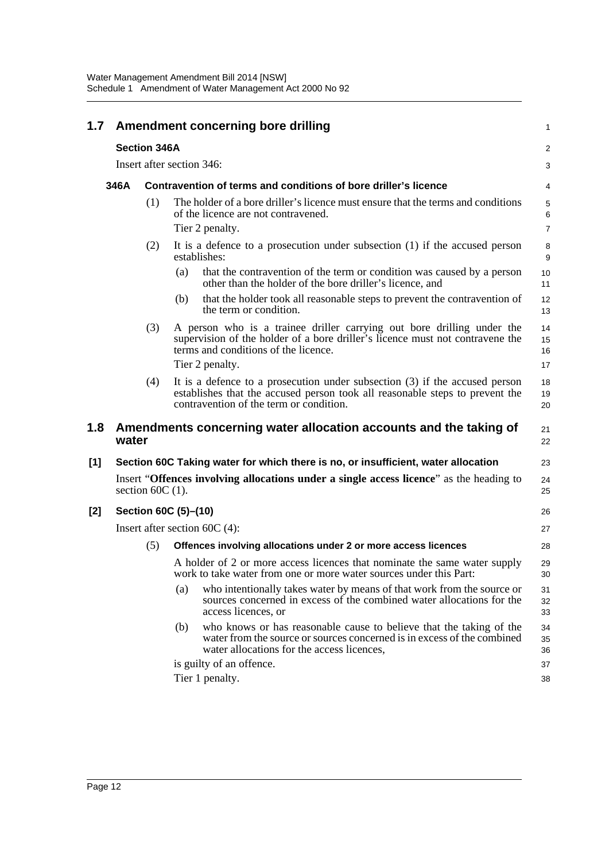| 1.7 |       |                     | Amendment concerning bore drilling                                                                                                                                                                                 | $\mathbf{1}$                       |
|-----|-------|---------------------|--------------------------------------------------------------------------------------------------------------------------------------------------------------------------------------------------------------------|------------------------------------|
|     |       | <b>Section 346A</b> |                                                                                                                                                                                                                    | $\overline{c}$                     |
|     |       |                     | Insert after section 346:                                                                                                                                                                                          | 3                                  |
|     | 346A  |                     | Contravention of terms and conditions of bore driller's licence                                                                                                                                                    | 4                                  |
|     |       | (1)                 | The holder of a bore driller's licence must ensure that the terms and conditions<br>of the licence are not contravened.<br>Tier 2 penalty.                                                                         | $\mathbf 5$<br>6<br>$\overline{7}$ |
|     | (2)   |                     | It is a defence to a prosecution under subsection $(1)$ if the accused person<br>establishes:                                                                                                                      | 8<br>9                             |
|     |       |                     | that the contravention of the term or condition was caused by a person<br>(a)<br>other than the holder of the bore driller's licence, and                                                                          | 10<br>11                           |
|     |       |                     | (b)<br>that the holder took all reasonable steps to prevent the contravention of<br>the term or condition.                                                                                                         | 12<br>13                           |
|     |       | (3)                 | A person who is a trainee driller carrying out bore drilling under the<br>supervision of the holder of a bore driller's licence must not contravene the<br>terms and conditions of the licence.<br>Tier 2 penalty. | 14<br>15<br>16<br>17               |
|     |       | (4)                 | It is a defence to a prosecution under subsection $(3)$ if the accused person<br>establishes that the accused person took all reasonable steps to prevent the<br>contravention of the term or condition.           | 18<br>19<br>20                     |
| 1.8 | water |                     | Amendments concerning water allocation accounts and the taking of                                                                                                                                                  | 21<br>22                           |
| [1] |       |                     | Section 60C Taking water for which there is no, or insufficient, water allocation                                                                                                                                  | 23                                 |
|     |       | section $60C(1)$ .  | Insert "Offences involving allocations under a single access licence" as the heading to                                                                                                                            | 24<br>25                           |
| [2] |       |                     | Section 60C (5)-(10)                                                                                                                                                                                               | 26                                 |
|     |       |                     | Insert after section $60C(4)$ :                                                                                                                                                                                    | 27                                 |
|     |       | (5)                 | Offences involving allocations under 2 or more access licences                                                                                                                                                     | 28                                 |
|     |       |                     | A holder of 2 or more access licences that nominate the same water supply<br>work to take water from one or more water sources under this Part:                                                                    | 29<br>30                           |
|     |       |                     | who intentionally takes water by means of that work from the source or<br>(a)<br>sources concerned in excess of the combined water allocations for the<br>access licences, or                                      | 31<br>32<br>33                     |
|     |       |                     | who knows or has reasonable cause to believe that the taking of the<br>(b)<br>water from the source or sources concerned is in excess of the combined<br>water allocations for the access licences,                | 34<br>35<br>36                     |
|     |       |                     | is guilty of an offence.                                                                                                                                                                                           | 37                                 |
|     |       |                     | Tier 1 penalty.                                                                                                                                                                                                    | 38                                 |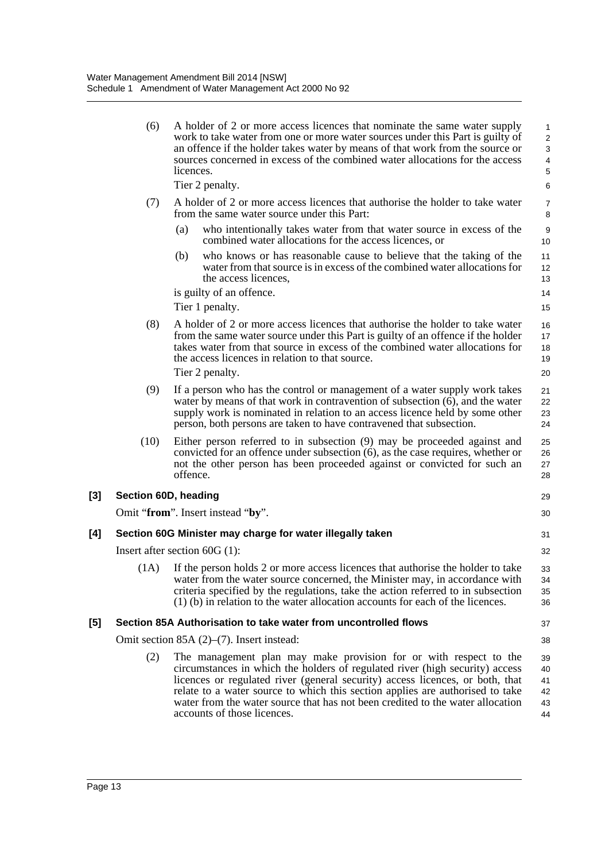|       | (6)                  | A holder of 2 or more access licences that nominate the same water supply<br>work to take water from one or more water sources under this Part is guilty of<br>an offence if the holder takes water by means of that work from the source or<br>sources concerned in excess of the combined water allocations for the access<br>licences.<br>Tier 2 penalty.                                                                         | $\mathbf{1}$<br>$\overline{c}$<br>3<br>$\overline{\mathbf{4}}$<br>$\sqrt{5}$<br>6 |
|-------|----------------------|--------------------------------------------------------------------------------------------------------------------------------------------------------------------------------------------------------------------------------------------------------------------------------------------------------------------------------------------------------------------------------------------------------------------------------------|-----------------------------------------------------------------------------------|
|       | (7)                  | A holder of 2 or more access licences that authorise the holder to take water<br>from the same water source under this Part:                                                                                                                                                                                                                                                                                                         | $\overline{7}$<br>8                                                               |
|       |                      | (a)<br>who intentionally takes water from that water source in excess of the<br>combined water allocations for the access licences, or                                                                                                                                                                                                                                                                                               | $\boldsymbol{9}$<br>10                                                            |
|       |                      | (b)<br>who knows or has reasonable cause to believe that the taking of the<br>water from that source is in excess of the combined water allocations for<br>the access licences,                                                                                                                                                                                                                                                      | 11<br>12<br>13                                                                    |
|       |                      | is guilty of an offence.                                                                                                                                                                                                                                                                                                                                                                                                             | 14                                                                                |
|       |                      | Tier 1 penalty.                                                                                                                                                                                                                                                                                                                                                                                                                      | 15                                                                                |
|       | (8)                  | A holder of 2 or more access licences that authorise the holder to take water<br>from the same water source under this Part is guilty of an offence if the holder<br>takes water from that source in excess of the combined water allocations for<br>the access licences in relation to that source.<br>Tier 2 penalty.                                                                                                              | 16<br>17<br>18<br>19<br>20                                                        |
|       | (9)                  | If a person who has the control or management of a water supply work takes<br>water by means of that work in contravention of subsection $(6)$ , and the water<br>supply work is nominated in relation to an access licence held by some other<br>person, both persons are taken to have contravened that subsection.                                                                                                                | 21<br>22<br>23<br>24                                                              |
|       | (10)                 | Either person referred to in subsection (9) may be proceeded against and<br>convicted for an offence under subsection $(6)$ , as the case requires, whether or<br>not the other person has been proceeded against or convicted for such an<br>offence.                                                                                                                                                                               | 25<br>26<br>27<br>28                                                              |
| $[3]$ | Section 60D, heading |                                                                                                                                                                                                                                                                                                                                                                                                                                      | 29                                                                                |
|       |                      | Omit "from". Insert instead "by".                                                                                                                                                                                                                                                                                                                                                                                                    | 30                                                                                |
| [4]   |                      | Section 60G Minister may charge for water illegally taken                                                                                                                                                                                                                                                                                                                                                                            | 31                                                                                |
|       |                      | Insert after section $60G(1)$ :                                                                                                                                                                                                                                                                                                                                                                                                      | 32                                                                                |
|       | (1A)                 | If the person holds 2 or more access licences that authorise the holder to take<br>water from the water source concerned, the Minister may, in accordance with<br>criteria specified by the regulations, take the action referred to in subsection<br>(1) (b) in relation to the water allocation accounts for each of the licences.                                                                                                 | 33<br>34<br>35<br>36                                                              |
| [5]   |                      | Section 85A Authorisation to take water from uncontrolled flows                                                                                                                                                                                                                                                                                                                                                                      | 37                                                                                |
|       |                      | Omit section $85A(2)$ – $(7)$ . Insert instead:                                                                                                                                                                                                                                                                                                                                                                                      | 38                                                                                |
|       | (2)                  | The management plan may make provision for or with respect to the<br>circumstances in which the holders of regulated river (high security) access<br>licences or regulated river (general security) access licences, or both, that<br>relate to a water source to which this section applies are authorised to take<br>water from the water source that has not been credited to the water allocation<br>accounts of those licences. | 39<br>40<br>41<br>42<br>43<br>44                                                  |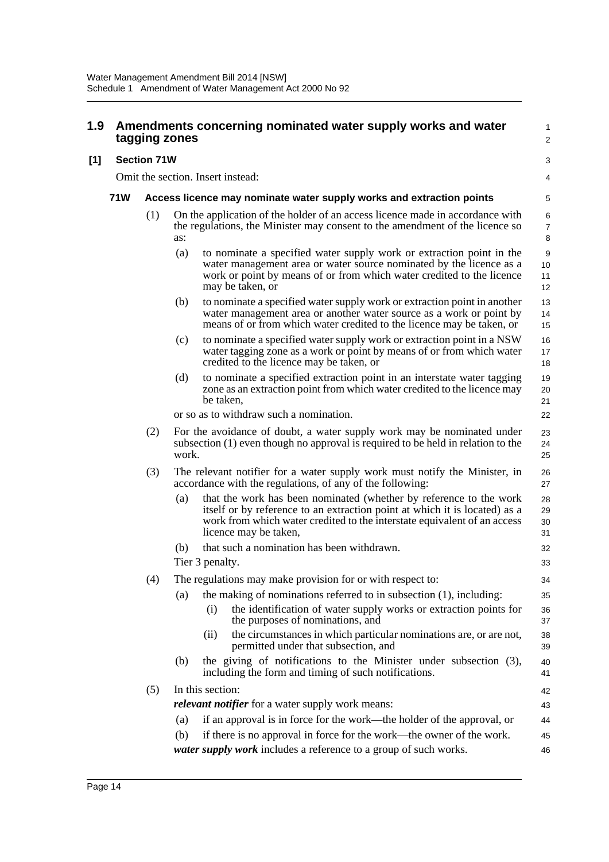| 1.9   | Amendments concerning nominated water supply works and water<br>tagging zones |                                                                      |       |                                                                                                                                                                                                                                                       |                          |  |  |  |
|-------|-------------------------------------------------------------------------------|----------------------------------------------------------------------|-------|-------------------------------------------------------------------------------------------------------------------------------------------------------------------------------------------------------------------------------------------------------|--------------------------|--|--|--|
| $[1]$ |                                                                               | <b>Section 71W</b>                                                   |       |                                                                                                                                                                                                                                                       |                          |  |  |  |
|       |                                                                               |                                                                      |       | Omit the section. Insert instead:                                                                                                                                                                                                                     | 4                        |  |  |  |
|       | <b>71W</b>                                                                    | Access licence may nominate water supply works and extraction points |       |                                                                                                                                                                                                                                                       |                          |  |  |  |
|       |                                                                               | (1)                                                                  | as:   | On the application of the holder of an access licence made in accordance with<br>the regulations, the Minister may consent to the amendment of the licence so                                                                                         | 6<br>$\overline{7}$<br>8 |  |  |  |
|       |                                                                               |                                                                      | (a)   | to nominate a specified water supply work or extraction point in the<br>water management area or water source nominated by the licence as a<br>work or point by means of or from which water credited to the licence<br>may be taken, or              | 9<br>10<br>11<br>12      |  |  |  |
|       |                                                                               |                                                                      | (b)   | to nominate a specified water supply work or extraction point in another<br>water management area or another water source as a work or point by<br>means of or from which water credited to the licence may be taken, or                              | 13<br>14<br>15           |  |  |  |
|       |                                                                               |                                                                      | (c)   | to nominate a specified water supply work or extraction point in a NSW<br>water tagging zone as a work or point by means of or from which water<br>credited to the licence may be taken, or                                                           | 16<br>17<br>18           |  |  |  |
|       |                                                                               |                                                                      | (d)   | to nominate a specified extraction point in an interstate water tagging<br>zone as an extraction point from which water credited to the licence may<br>be taken,                                                                                      | 19<br>20<br>21           |  |  |  |
|       |                                                                               |                                                                      |       | or so as to withdraw such a nomination.                                                                                                                                                                                                               | 22                       |  |  |  |
|       |                                                                               | (2)                                                                  | work. | For the avoidance of doubt, a water supply work may be nominated under<br>subsection (1) even though no approval is required to be held in relation to the                                                                                            | 23<br>24<br>25           |  |  |  |
|       |                                                                               | (3)                                                                  |       | The relevant notifier for a water supply work must notify the Minister, in<br>accordance with the regulations, of any of the following:                                                                                                               | 26<br>27                 |  |  |  |
|       |                                                                               |                                                                      | (a)   | that the work has been nominated (whether by reference to the work<br>itself or by reference to an extraction point at which it is located) as a<br>work from which water credited to the interstate equivalent of an access<br>licence may be taken, | 28<br>29<br>30<br>31     |  |  |  |
|       |                                                                               |                                                                      | (b)   | that such a nomination has been withdrawn.<br>Tier 3 penalty.                                                                                                                                                                                         | 32<br>33                 |  |  |  |
|       |                                                                               | (4)                                                                  |       | The regulations may make provision for or with respect to:                                                                                                                                                                                            | 34                       |  |  |  |
|       |                                                                               |                                                                      | (a)   | the making of nominations referred to in subsection $(1)$ , including:                                                                                                                                                                                | 35                       |  |  |  |
|       |                                                                               |                                                                      |       | the identification of water supply works or extraction points for<br>(i)<br>the purposes of nominations, and                                                                                                                                          | 36<br>37                 |  |  |  |
|       |                                                                               |                                                                      |       | the circumstances in which particular nominations are, or are not,<br>(ii)<br>permitted under that subsection, and                                                                                                                                    | 38<br>39                 |  |  |  |
|       |                                                                               |                                                                      | (b)   | the giving of notifications to the Minister under subsection (3),<br>including the form and timing of such notifications.                                                                                                                             | 40<br>41                 |  |  |  |
|       |                                                                               | (5)                                                                  |       | In this section:                                                                                                                                                                                                                                      | 42                       |  |  |  |
|       |                                                                               |                                                                      |       | <i>relevant notifier</i> for a water supply work means:                                                                                                                                                                                               | 43                       |  |  |  |
|       |                                                                               |                                                                      | (a)   | if an approval is in force for the work—the holder of the approval, or                                                                                                                                                                                | 44                       |  |  |  |
|       |                                                                               |                                                                      | (b)   | if there is no approval in force for the work—the owner of the work.<br>water supply work includes a reference to a group of such works.                                                                                                              | 45<br>46                 |  |  |  |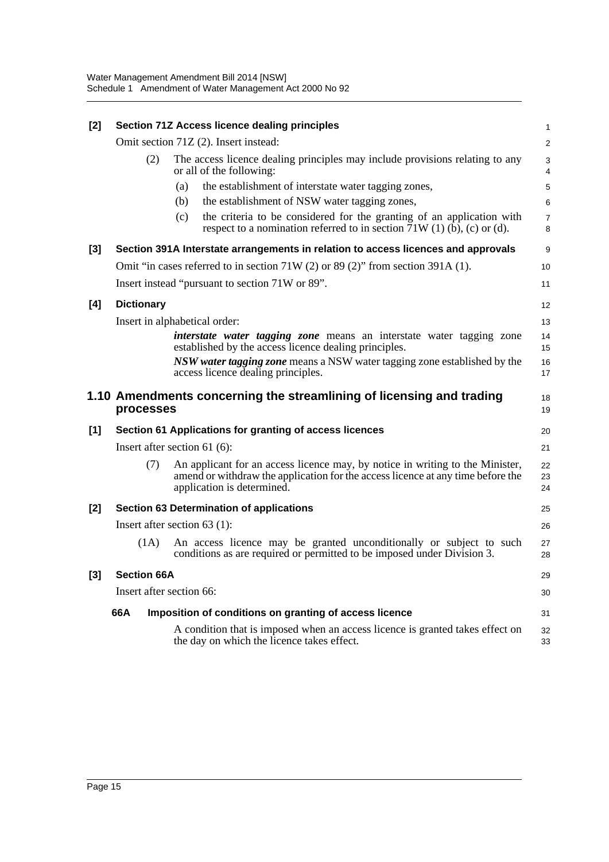| $[2]$ |                          | Section 71Z Access licence dealing principles                                                                                                                                                  |                     |  |  |  |
|-------|--------------------------|------------------------------------------------------------------------------------------------------------------------------------------------------------------------------------------------|---------------------|--|--|--|
|       |                          | Omit section 71Z (2). Insert instead:                                                                                                                                                          | $\overline{2}$      |  |  |  |
|       | (2)                      | The access licence dealing principles may include provisions relating to any<br>or all of the following:                                                                                       | 3<br>4              |  |  |  |
|       |                          | the establishment of interstate water tagging zones,<br>(a)                                                                                                                                    | 5                   |  |  |  |
|       |                          | (b)<br>the establishment of NSW water tagging zones,                                                                                                                                           | 6                   |  |  |  |
|       |                          | the criteria to be considered for the granting of an application with<br>(c)<br>respect to a nomination referred to in section $71W(1)$ (b), (c) or (d).                                       | $\overline{7}$<br>8 |  |  |  |
| $[3]$ |                          | Section 391A Interstate arrangements in relation to access licences and approvals                                                                                                              | 9                   |  |  |  |
|       |                          | Omit "in cases referred to in section 71W (2) or 89 (2)" from section 391A (1).                                                                                                                | 10                  |  |  |  |
|       |                          | Insert instead "pursuant to section 71W or 89".                                                                                                                                                | 11                  |  |  |  |
| [4]   | <b>Dictionary</b>        |                                                                                                                                                                                                | 12                  |  |  |  |
|       |                          | Insert in alphabetical order:                                                                                                                                                                  | 13                  |  |  |  |
|       |                          | interstate water tagging zone means an interstate water tagging zone<br>established by the access licence dealing principles.                                                                  | 14<br>15            |  |  |  |
|       |                          | NSW water tagging zone means a NSW water tagging zone established by the<br>access licence dealing principles.                                                                                 | 16<br>17            |  |  |  |
|       |                          |                                                                                                                                                                                                |                     |  |  |  |
|       | processes                | 1.10 Amendments concerning the streamlining of licensing and trading                                                                                                                           | 18<br>19            |  |  |  |
| $[1]$ |                          | Section 61 Applications for granting of access licences                                                                                                                                        | 20                  |  |  |  |
|       |                          | Insert after section $61$ (6):                                                                                                                                                                 | 21                  |  |  |  |
|       | (7)                      | An applicant for an access licence may, by notice in writing to the Minister,<br>amend or withdraw the application for the access licence at any time before the<br>application is determined. | 22<br>23<br>24      |  |  |  |
| $[2]$ |                          | <b>Section 63 Determination of applications</b>                                                                                                                                                | 25                  |  |  |  |
|       |                          | Insert after section $63$ (1):                                                                                                                                                                 | 26                  |  |  |  |
|       | (1A)                     | An access licence may be granted unconditionally or subject to such<br>conditions as are required or permitted to be imposed under Division 3.                                                 | 27<br>28            |  |  |  |
| $[3]$ | <b>Section 66A</b>       |                                                                                                                                                                                                | 29                  |  |  |  |
|       | Insert after section 66: |                                                                                                                                                                                                | 30                  |  |  |  |
|       | 66A                      | Imposition of conditions on granting of access licence                                                                                                                                         | 31                  |  |  |  |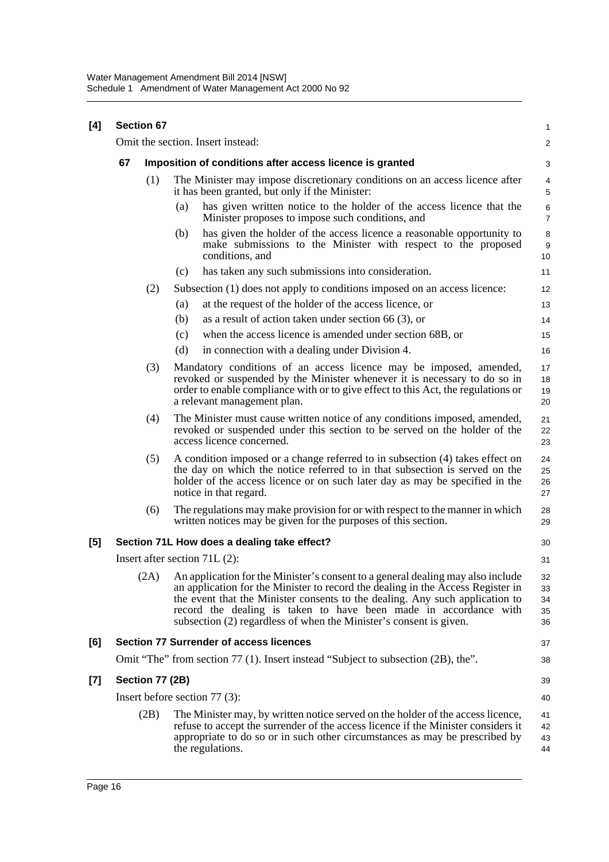| [4] | <b>Section 67</b> |                                                          |     |                                                                                                                                                                                                                                                                                                                                                                                                   |                             |  |
|-----|-------------------|----------------------------------------------------------|-----|---------------------------------------------------------------------------------------------------------------------------------------------------------------------------------------------------------------------------------------------------------------------------------------------------------------------------------------------------------------------------------------------------|-----------------------------|--|
|     |                   |                                                          |     | Omit the section. Insert instead:                                                                                                                                                                                                                                                                                                                                                                 | $\overline{c}$              |  |
|     | 67                | Imposition of conditions after access licence is granted |     |                                                                                                                                                                                                                                                                                                                                                                                                   |                             |  |
|     |                   | (1)                                                      |     | The Minister may impose discretionary conditions on an access licence after<br>it has been granted, but only if the Minister:                                                                                                                                                                                                                                                                     | 4<br>$\sqrt{5}$             |  |
|     |                   |                                                          | (a) | has given written notice to the holder of the access licence that the<br>Minister proposes to impose such conditions, and                                                                                                                                                                                                                                                                         | $\,6$<br>$\overline{7}$     |  |
|     |                   |                                                          | (b) | has given the holder of the access licence a reasonable opportunity to<br>make submissions to the Minister with respect to the proposed<br>conditions, and                                                                                                                                                                                                                                        | 8<br>$\boldsymbol{9}$<br>10 |  |
|     |                   |                                                          | (c) | has taken any such submissions into consideration.                                                                                                                                                                                                                                                                                                                                                | 11                          |  |
|     |                   | (2)                                                      |     | Subsection (1) does not apply to conditions imposed on an access licence:                                                                                                                                                                                                                                                                                                                         | 12                          |  |
|     |                   |                                                          | (a) | at the request of the holder of the access licence, or                                                                                                                                                                                                                                                                                                                                            | 13                          |  |
|     |                   |                                                          | (b) | as a result of action taken under section 66 $(3)$ , or                                                                                                                                                                                                                                                                                                                                           | 14                          |  |
|     |                   |                                                          | (c) | when the access licence is amended under section 68B, or                                                                                                                                                                                                                                                                                                                                          | 15                          |  |
|     |                   |                                                          | (d) | in connection with a dealing under Division 4.                                                                                                                                                                                                                                                                                                                                                    | 16                          |  |
|     |                   | (3)                                                      |     | Mandatory conditions of an access licence may be imposed, amended,<br>revoked or suspended by the Minister whenever it is necessary to do so in<br>order to enable compliance with or to give effect to this Act, the regulations or<br>a relevant management plan.                                                                                                                               | 17<br>18<br>19<br>20        |  |
|     |                   | (4)                                                      |     | The Minister must cause written notice of any conditions imposed, amended,<br>revoked or suspended under this section to be served on the holder of the<br>access licence concerned.                                                                                                                                                                                                              | 21<br>22<br>23              |  |
|     |                   | (5)                                                      |     | A condition imposed or a change referred to in subsection (4) takes effect on<br>the day on which the notice referred to in that subsection is served on the<br>holder of the access licence or on such later day as may be specified in the<br>notice in that regard.                                                                                                                            | 24<br>25<br>26<br>27        |  |
|     |                   | (6)                                                      |     | The regulations may make provision for or with respect to the manner in which<br>written notices may be given for the purposes of this section.                                                                                                                                                                                                                                                   | 28<br>29                    |  |
| [5] |                   |                                                          |     | Section 71L How does a dealing take effect?                                                                                                                                                                                                                                                                                                                                                       | 30                          |  |
|     |                   |                                                          |     | Insert after section $71L(2)$ :                                                                                                                                                                                                                                                                                                                                                                   | 31                          |  |
|     |                   |                                                          |     | (2A) An application for the Minister's consent to a general dealing may also include<br>an application for the Minister to record the dealing in the Access Register in<br>the event that the Minister consents to the dealing. Any such application to<br>record the dealing is taken to have been made in accordance with<br>subsection (2) regardless of when the Minister's consent is given. | 32<br>33<br>34<br>35<br>36  |  |
| [6] |                   |                                                          |     | <b>Section 77 Surrender of access licences</b>                                                                                                                                                                                                                                                                                                                                                    | 37                          |  |
|     |                   |                                                          |     | Omit "The" from section 77 (1). Insert instead "Subject to subsection (2B), the".                                                                                                                                                                                                                                                                                                                 | 38                          |  |
| [7] |                   | Section 77 (2B)                                          |     |                                                                                                                                                                                                                                                                                                                                                                                                   | 39                          |  |
|     |                   |                                                          |     | Insert before section $77(3)$ :                                                                                                                                                                                                                                                                                                                                                                   | 40                          |  |
|     |                   | (2B)                                                     |     | The Minister may, by written notice served on the holder of the access licence,<br>refuse to accept the surrender of the access licence if the Minister considers it<br>appropriate to do so or in such other circumstances as may be prescribed by<br>the regulations.                                                                                                                           | 41<br>42<br>43<br>44        |  |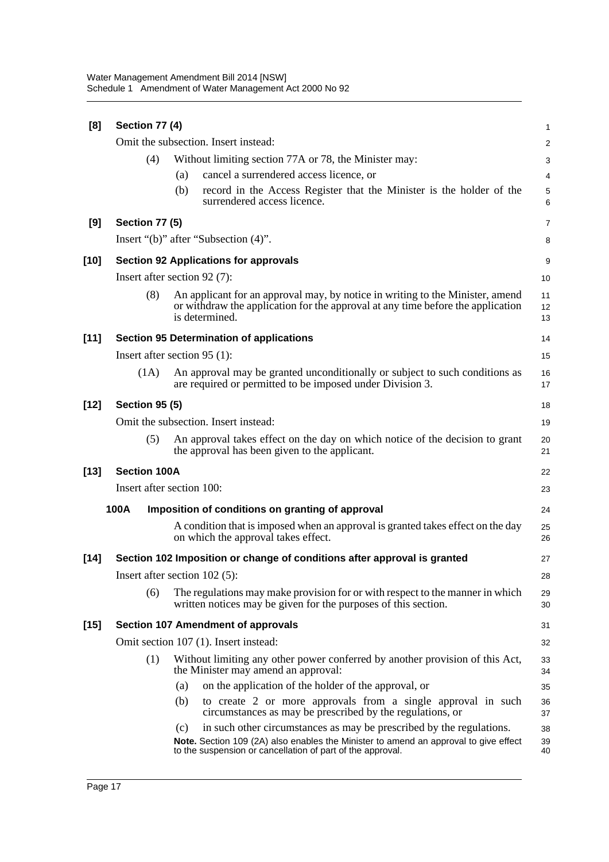| [8]    | Section 77 (4)                       |                                                                                                                                                                                                                                   | 1              |  |  |  |
|--------|--------------------------------------|-----------------------------------------------------------------------------------------------------------------------------------------------------------------------------------------------------------------------------------|----------------|--|--|--|
|        | Omit the subsection. Insert instead: |                                                                                                                                                                                                                                   |                |  |  |  |
|        | (4)                                  | Without limiting section 77A or 78, the Minister may:                                                                                                                                                                             | 3              |  |  |  |
|        |                                      | cancel a surrendered access licence, or<br>(a)                                                                                                                                                                                    | $\overline{4}$ |  |  |  |
|        |                                      | (b)<br>record in the Access Register that the Minister is the holder of the<br>surrendered access licence.                                                                                                                        | 5<br>6         |  |  |  |
| [9]    | <b>Section 77 (5)</b>                |                                                                                                                                                                                                                                   | 7              |  |  |  |
|        |                                      | Insert "(b)" after "Subsection (4)".                                                                                                                                                                                              | 8              |  |  |  |
| $[10]$ |                                      | <b>Section 92 Applications for approvals</b>                                                                                                                                                                                      | 9              |  |  |  |
|        |                                      | Insert after section 92 (7):                                                                                                                                                                                                      | 10             |  |  |  |
|        | (8)                                  | An applicant for an approval may, by notice in writing to the Minister, amend<br>or withdraw the application for the approval at any time before the application<br>is determined.                                                | 11<br>12<br>13 |  |  |  |
| $[11]$ |                                      | <b>Section 95 Determination of applications</b>                                                                                                                                                                                   | 14             |  |  |  |
|        |                                      | Insert after section $95(1)$ :                                                                                                                                                                                                    | 15             |  |  |  |
|        | (1A)                                 | An approval may be granted unconditionally or subject to such conditions as<br>are required or permitted to be imposed under Division 3.                                                                                          | 16<br>17       |  |  |  |
| $[12]$ | <b>Section 95 (5)</b>                |                                                                                                                                                                                                                                   | 18             |  |  |  |
|        | Omit the subsection. Insert instead: |                                                                                                                                                                                                                                   |                |  |  |  |
|        | (5)                                  | An approval takes effect on the day on which notice of the decision to grant<br>the approval has been given to the applicant.                                                                                                     | 20<br>21       |  |  |  |
| $[13]$ | <b>Section 100A</b>                  |                                                                                                                                                                                                                                   | 22             |  |  |  |
|        |                                      | Insert after section 100:                                                                                                                                                                                                         | 23             |  |  |  |
|        | 100A                                 | Imposition of conditions on granting of approval                                                                                                                                                                                  | 24             |  |  |  |
|        |                                      | A condition that is imposed when an approval is granted takes effect on the day<br>on which the approval takes effect.                                                                                                            | 25<br>26       |  |  |  |
| $[14]$ |                                      | Section 102 Imposition or change of conditions after approval is granted                                                                                                                                                          | 27             |  |  |  |
|        |                                      | Insert after section $102(5)$ :                                                                                                                                                                                                   | 28             |  |  |  |
|        | (6)                                  | The regulations may make provision for or with respect to the manner in which<br>written notices may be given for the purposes of this section.                                                                                   | 29<br>30       |  |  |  |
| $[15]$ |                                      | <b>Section 107 Amendment of approvals</b>                                                                                                                                                                                         | 31             |  |  |  |
|        |                                      | Omit section 107 (1). Insert instead:                                                                                                                                                                                             | 32             |  |  |  |
|        | (1)                                  | Without limiting any other power conferred by another provision of this Act,<br>the Minister may amend an approval:                                                                                                               | 33<br>34       |  |  |  |
|        |                                      | on the application of the holder of the approval, or<br>(a)                                                                                                                                                                       | 35             |  |  |  |
|        |                                      | to create 2 or more approvals from a single approval in such<br>(b)<br>circumstances as may be prescribed by the regulations, or                                                                                                  | 36<br>37       |  |  |  |
|        |                                      | (c)<br>in such other circumstances as may be prescribed by the regulations.<br>Note. Section 109 (2A) also enables the Minister to amend an approval to give effect<br>to the suspension or cancellation of part of the approval. | 38<br>39<br>40 |  |  |  |
|        |                                      |                                                                                                                                                                                                                                   |                |  |  |  |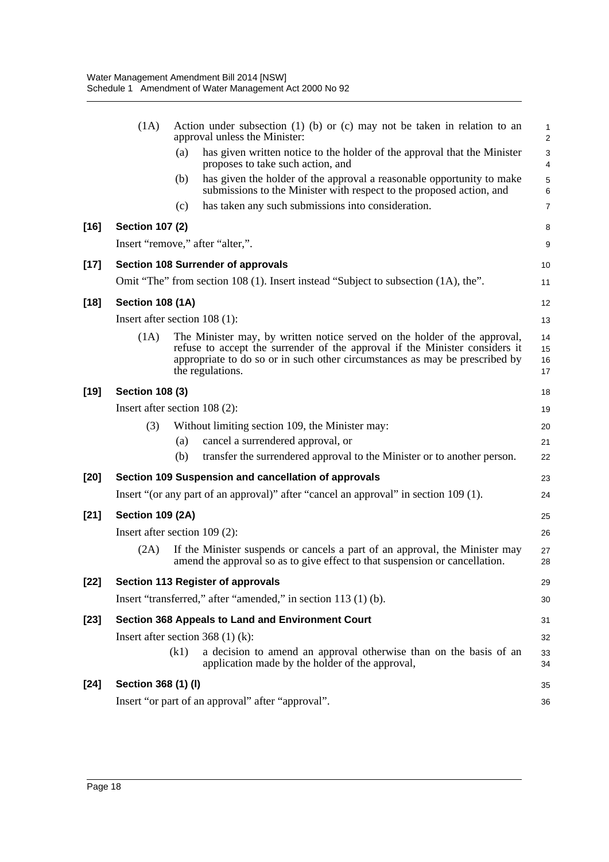| (1A)                                                 | Action under subsection $(1)$ (b) or $(c)$ may not be taken in relation to an<br>approval unless the Minister:                                                                                                                                              | 1<br>$\overline{\mathbf{c}}$                                                                                                                                                                                                                                                                                                                                                                                                                                                                                                                                                                                                                                                                                                                                                                                                           |  |  |
|------------------------------------------------------|-------------------------------------------------------------------------------------------------------------------------------------------------------------------------------------------------------------------------------------------------------------|----------------------------------------------------------------------------------------------------------------------------------------------------------------------------------------------------------------------------------------------------------------------------------------------------------------------------------------------------------------------------------------------------------------------------------------------------------------------------------------------------------------------------------------------------------------------------------------------------------------------------------------------------------------------------------------------------------------------------------------------------------------------------------------------------------------------------------------|--|--|
|                                                      | has given written notice to the holder of the approval that the Minister<br>(a)<br>proposes to take such action, and                                                                                                                                        | 3<br>$\overline{\mathcal{L}}$                                                                                                                                                                                                                                                                                                                                                                                                                                                                                                                                                                                                                                                                                                                                                                                                          |  |  |
|                                                      | has given the holder of the approval a reasonable opportunity to make<br>(b)<br>submissions to the Minister with respect to the proposed action, and                                                                                                        | 5<br>6                                                                                                                                                                                                                                                                                                                                                                                                                                                                                                                                                                                                                                                                                                                                                                                                                                 |  |  |
|                                                      | has taken any such submissions into consideration.<br>(c)                                                                                                                                                                                                   | 7                                                                                                                                                                                                                                                                                                                                                                                                                                                                                                                                                                                                                                                                                                                                                                                                                                      |  |  |
|                                                      |                                                                                                                                                                                                                                                             | 8                                                                                                                                                                                                                                                                                                                                                                                                                                                                                                                                                                                                                                                                                                                                                                                                                                      |  |  |
|                                                      |                                                                                                                                                                                                                                                             | 9                                                                                                                                                                                                                                                                                                                                                                                                                                                                                                                                                                                                                                                                                                                                                                                                                                      |  |  |
|                                                      |                                                                                                                                                                                                                                                             | 10                                                                                                                                                                                                                                                                                                                                                                                                                                                                                                                                                                                                                                                                                                                                                                                                                                     |  |  |
|                                                      |                                                                                                                                                                                                                                                             | 11                                                                                                                                                                                                                                                                                                                                                                                                                                                                                                                                                                                                                                                                                                                                                                                                                                     |  |  |
|                                                      |                                                                                                                                                                                                                                                             | 12                                                                                                                                                                                                                                                                                                                                                                                                                                                                                                                                                                                                                                                                                                                                                                                                                                     |  |  |
|                                                      |                                                                                                                                                                                                                                                             | 13                                                                                                                                                                                                                                                                                                                                                                                                                                                                                                                                                                                                                                                                                                                                                                                                                                     |  |  |
| (1A)                                                 | The Minister may, by written notice served on the holder of the approval,<br>refuse to accept the surrender of the approval if the Minister considers it<br>appropriate to do so or in such other circumstances as may be prescribed by<br>the regulations. | 14<br>15<br>16<br>17                                                                                                                                                                                                                                                                                                                                                                                                                                                                                                                                                                                                                                                                                                                                                                                                                   |  |  |
|                                                      |                                                                                                                                                                                                                                                             | 18                                                                                                                                                                                                                                                                                                                                                                                                                                                                                                                                                                                                                                                                                                                                                                                                                                     |  |  |
|                                                      |                                                                                                                                                                                                                                                             | 19                                                                                                                                                                                                                                                                                                                                                                                                                                                                                                                                                                                                                                                                                                                                                                                                                                     |  |  |
| (3)                                                  | Without limiting section 109, the Minister may:                                                                                                                                                                                                             | 20                                                                                                                                                                                                                                                                                                                                                                                                                                                                                                                                                                                                                                                                                                                                                                                                                                     |  |  |
|                                                      | cancel a surrendered approval, or<br>(a)                                                                                                                                                                                                                    | 21                                                                                                                                                                                                                                                                                                                                                                                                                                                                                                                                                                                                                                                                                                                                                                                                                                     |  |  |
|                                                      |                                                                                                                                                                                                                                                             | 22                                                                                                                                                                                                                                                                                                                                                                                                                                                                                                                                                                                                                                                                                                                                                                                                                                     |  |  |
| Section 109 Suspension and cancellation of approvals |                                                                                                                                                                                                                                                             |                                                                                                                                                                                                                                                                                                                                                                                                                                                                                                                                                                                                                                                                                                                                                                                                                                        |  |  |
|                                                      |                                                                                                                                                                                                                                                             | 24                                                                                                                                                                                                                                                                                                                                                                                                                                                                                                                                                                                                                                                                                                                                                                                                                                     |  |  |
|                                                      |                                                                                                                                                                                                                                                             | 25                                                                                                                                                                                                                                                                                                                                                                                                                                                                                                                                                                                                                                                                                                                                                                                                                                     |  |  |
|                                                      |                                                                                                                                                                                                                                                             | 26                                                                                                                                                                                                                                                                                                                                                                                                                                                                                                                                                                                                                                                                                                                                                                                                                                     |  |  |
| (2A)                                                 | If the Minister suspends or cancels a part of an approval, the Minister may<br>amend the approval so as to give effect to that suspension or cancellation.                                                                                                  | 27<br>28                                                                                                                                                                                                                                                                                                                                                                                                                                                                                                                                                                                                                                                                                                                                                                                                                               |  |  |
|                                                      |                                                                                                                                                                                                                                                             | 29                                                                                                                                                                                                                                                                                                                                                                                                                                                                                                                                                                                                                                                                                                                                                                                                                                     |  |  |
|                                                      |                                                                                                                                                                                                                                                             | 30                                                                                                                                                                                                                                                                                                                                                                                                                                                                                                                                                                                                                                                                                                                                                                                                                                     |  |  |
|                                                      |                                                                                                                                                                                                                                                             | 31                                                                                                                                                                                                                                                                                                                                                                                                                                                                                                                                                                                                                                                                                                                                                                                                                                     |  |  |
|                                                      |                                                                                                                                                                                                                                                             | 32                                                                                                                                                                                                                                                                                                                                                                                                                                                                                                                                                                                                                                                                                                                                                                                                                                     |  |  |
|                                                      | a decision to amend an approval otherwise than on the basis of an<br>(k1)<br>application made by the holder of the approval,                                                                                                                                | 33<br>34                                                                                                                                                                                                                                                                                                                                                                                                                                                                                                                                                                                                                                                                                                                                                                                                                               |  |  |
|                                                      |                                                                                                                                                                                                                                                             | 35                                                                                                                                                                                                                                                                                                                                                                                                                                                                                                                                                                                                                                                                                                                                                                                                                                     |  |  |
|                                                      |                                                                                                                                                                                                                                                             | 36                                                                                                                                                                                                                                                                                                                                                                                                                                                                                                                                                                                                                                                                                                                                                                                                                                     |  |  |
|                                                      |                                                                                                                                                                                                                                                             | <b>Section 107 (2)</b><br>Insert "remove," after "alter,".<br>Section 108 Surrender of approvals<br>Omit "The" from section 108 (1). Insert instead "Subject to subsection (1A), the".<br><b>Section 108 (1A)</b><br>Insert after section 108 (1):<br><b>Section 108 (3)</b><br>Insert after section $108(2)$ :<br>(b)<br>transfer the surrendered approval to the Minister or to another person.<br>Insert "(or any part of an approval)" after "cancel an approval" in section 109 (1).<br><b>Section 109 (2A)</b><br>Insert after section $109(2)$ :<br>Section 113 Register of approvals<br>Insert "transferred," after "amended," in section 113 (1) (b).<br>Section 368 Appeals to Land and Environment Court<br>Insert after section 368 $(1)$ (k):<br>Section 368 (1) (I)<br>Insert "or part of an approval" after "approval". |  |  |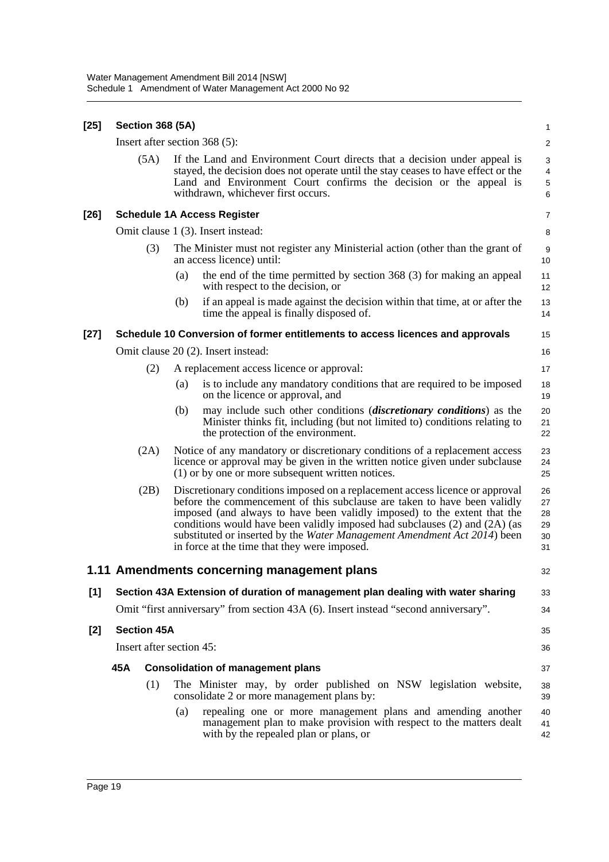| $[25]$ | <b>Section 368 (5A)</b>  |                    |     |                                                                                                                                                                                                                                                                                                                                                                                                                                                |                                  |
|--------|--------------------------|--------------------|-----|------------------------------------------------------------------------------------------------------------------------------------------------------------------------------------------------------------------------------------------------------------------------------------------------------------------------------------------------------------------------------------------------------------------------------------------------|----------------------------------|
|        |                          |                    |     | Insert after section 368 (5):                                                                                                                                                                                                                                                                                                                                                                                                                  | $\overline{\mathbf{c}}$          |
|        |                          | (5A)               |     | If the Land and Environment Court directs that a decision under appeal is<br>stayed, the decision does not operate until the stay ceases to have effect or the<br>Land and Environment Court confirms the decision or the appeal is<br>withdrawn, whichever first occurs.                                                                                                                                                                      | 3<br>4<br>5<br>6                 |
| $[26]$ |                          |                    |     | <b>Schedule 1A Access Register</b>                                                                                                                                                                                                                                                                                                                                                                                                             | 7                                |
|        |                          |                    |     | Omit clause 1 (3). Insert instead:                                                                                                                                                                                                                                                                                                                                                                                                             | 8                                |
|        |                          | (3)                |     | The Minister must not register any Ministerial action (other than the grant of<br>an access licence) until:                                                                                                                                                                                                                                                                                                                                    | 9<br>10                          |
|        |                          |                    | (a) | the end of the time permitted by section 368 (3) for making an appeal<br>with respect to the decision, or                                                                                                                                                                                                                                                                                                                                      | 11<br>12                         |
|        |                          |                    | (b) | if an appeal is made against the decision within that time, at or after the<br>time the appeal is finally disposed of.                                                                                                                                                                                                                                                                                                                         | 13<br>14                         |
| $[27]$ |                          |                    |     | Schedule 10 Conversion of former entitlements to access licences and approvals                                                                                                                                                                                                                                                                                                                                                                 | 15                               |
|        |                          |                    |     | Omit clause 20 (2). Insert instead:                                                                                                                                                                                                                                                                                                                                                                                                            | 16                               |
|        |                          | (2)                |     | A replacement access licence or approval:                                                                                                                                                                                                                                                                                                                                                                                                      | 17                               |
|        |                          |                    | (a) | is to include any mandatory conditions that are required to be imposed<br>on the licence or approval, and                                                                                                                                                                                                                                                                                                                                      | 18<br>19                         |
|        |                          |                    | (b) | may include such other conditions <i>(discretionary conditions)</i> as the<br>Minister thinks fit, including (but not limited to) conditions relating to<br>the protection of the environment.                                                                                                                                                                                                                                                 | 20<br>21<br>22                   |
|        |                          | (2A)               |     | Notice of any mandatory or discretionary conditions of a replacement access<br>licence or approval may be given in the written notice given under subclause<br>(1) or by one or more subsequent written notices.                                                                                                                                                                                                                               | 23<br>24<br>25                   |
|        |                          | (2B)               |     | Discretionary conditions imposed on a replacement access licence or approval<br>before the commencement of this subclause are taken to have been validly<br>imposed (and always to have been validly imposed) to the extent that the<br>conditions would have been validly imposed had subclauses (2) and (2A) (as<br>substituted or inserted by the Water Management Amendment Act 2014) been<br>in force at the time that they were imposed. | 26<br>27<br>28<br>29<br>30<br>31 |
|        |                          |                    |     | 1.11 Amendments concerning management plans                                                                                                                                                                                                                                                                                                                                                                                                    | 32                               |
| $[1]$  |                          |                    |     | Section 43A Extension of duration of management plan dealing with water sharing                                                                                                                                                                                                                                                                                                                                                                | 33                               |
|        |                          |                    |     | Omit "first anniversary" from section 43A (6). Insert instead "second anniversary".                                                                                                                                                                                                                                                                                                                                                            | 34                               |
| $[2]$  |                          | <b>Section 45A</b> |     |                                                                                                                                                                                                                                                                                                                                                                                                                                                | 35                               |
|        | Insert after section 45: |                    |     |                                                                                                                                                                                                                                                                                                                                                                                                                                                | 36                               |
|        | 45A                      |                    |     | <b>Consolidation of management plans</b>                                                                                                                                                                                                                                                                                                                                                                                                       | 37                               |
|        |                          | (1)                |     | The Minister may, by order published on NSW legislation website,<br>consolidate 2 or more management plans by:                                                                                                                                                                                                                                                                                                                                 | 38<br>39                         |
|        |                          |                    | (a) | repealing one or more management plans and amending another<br>management plan to make provision with respect to the matters dealt<br>with by the repealed plan or plans, or                                                                                                                                                                                                                                                                   | 40<br>41<br>42                   |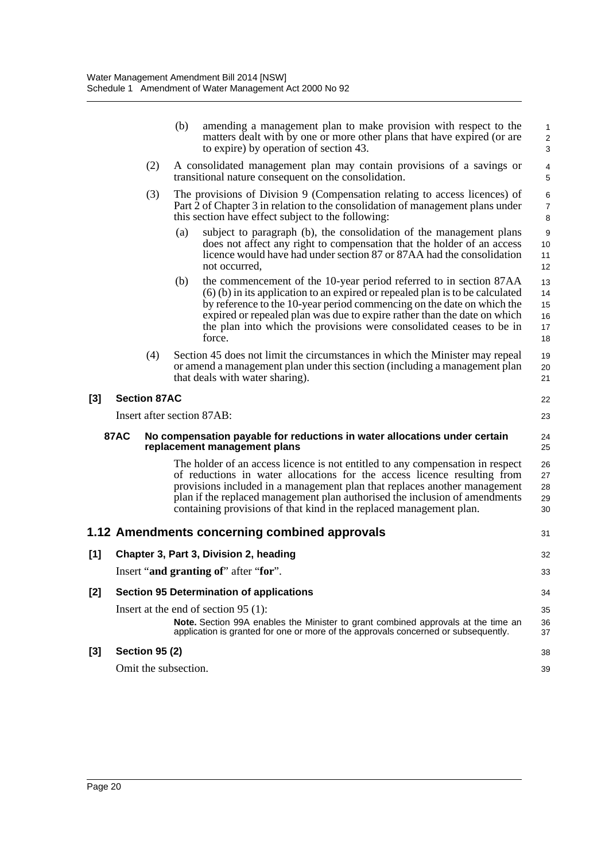|       |             |                       | (b) | amending a management plan to make provision with respect to the<br>matters dealt with by one or more other plans that have expired (or are<br>to expire) by operation of section 43.                                                                                                                                                                                                         | 1<br>$\overline{c}$<br>$\mathsf 3$ |
|-------|-------------|-----------------------|-----|-----------------------------------------------------------------------------------------------------------------------------------------------------------------------------------------------------------------------------------------------------------------------------------------------------------------------------------------------------------------------------------------------|------------------------------------|
|       |             | (2)                   |     | A consolidated management plan may contain provisions of a savings or<br>transitional nature consequent on the consolidation.                                                                                                                                                                                                                                                                 | 4<br>5                             |
|       |             | (3)                   |     | The provisions of Division 9 (Compensation relating to access licences) of<br>Part 2 of Chapter 3 in relation to the consolidation of management plans under<br>this section have effect subject to the following:                                                                                                                                                                            | 6<br>$\overline{7}$<br>8           |
|       |             |                       | (a) | subject to paragraph (b), the consolidation of the management plans<br>does not affect any right to compensation that the holder of an access<br>licence would have had under section 87 or 87AA had the consolidation<br>not occurred,                                                                                                                                                       | 9<br>10<br>11<br>12                |
|       |             |                       | (b) | the commencement of the 10-year period referred to in section 87AA<br>$(6)$ (b) in its application to an expired or repealed plan is to be calculated<br>by reference to the 10-year period commencing on the date on which the<br>expired or repealed plan was due to expire rather than the date on which<br>the plan into which the provisions were consolidated ceases to be in<br>force. | 13<br>14<br>15<br>16<br>17<br>18   |
|       |             | (4)                   |     | Section 45 does not limit the circumstances in which the Minister may repeal<br>or amend a management plan under this section (including a management plan<br>that deals with water sharing).                                                                                                                                                                                                 | 19<br>20<br>21                     |
| $[3]$ |             | <b>Section 87AC</b>   |     |                                                                                                                                                                                                                                                                                                                                                                                               | 22                                 |
|       |             |                       |     | Insert after section 87AB:                                                                                                                                                                                                                                                                                                                                                                    | 23                                 |
|       | <b>87AC</b> |                       |     | No compensation payable for reductions in water allocations under certain<br>replacement management plans                                                                                                                                                                                                                                                                                     | 24<br>25                           |
|       |             |                       |     | The holder of an access licence is not entitled to any compensation in respect<br>of reductions in water allocations for the access licence resulting from<br>provisions included in a management plan that replaces another management<br>plan if the replaced management plan authorised the inclusion of amendments<br>containing provisions of that kind in the replaced management plan. | 26<br>27<br>28<br>29<br>30         |
|       |             |                       |     | 1.12 Amendments concerning combined approvals                                                                                                                                                                                                                                                                                                                                                 | 31                                 |
| $[1]$ |             |                       |     | Chapter 3, Part 3, Division 2, heading                                                                                                                                                                                                                                                                                                                                                        | 32                                 |
|       |             |                       |     | Insert "and granting of" after "for".                                                                                                                                                                                                                                                                                                                                                         | 33                                 |
| [2]   |             |                       |     | <b>Section 95 Determination of applications</b>                                                                                                                                                                                                                                                                                                                                               | 34                                 |
|       |             |                       |     | Insert at the end of section $95(1)$ :                                                                                                                                                                                                                                                                                                                                                        | 35                                 |
|       |             |                       |     | Note. Section 99A enables the Minister to grant combined approvals at the time an<br>application is granted for one or more of the approvals concerned or subsequently.                                                                                                                                                                                                                       | 36<br>37                           |
| $[3]$ |             | <b>Section 95 (2)</b> |     |                                                                                                                                                                                                                                                                                                                                                                                               | 38                                 |
|       |             | Omit the subsection.  |     |                                                                                                                                                                                                                                                                                                                                                                                               | 39                                 |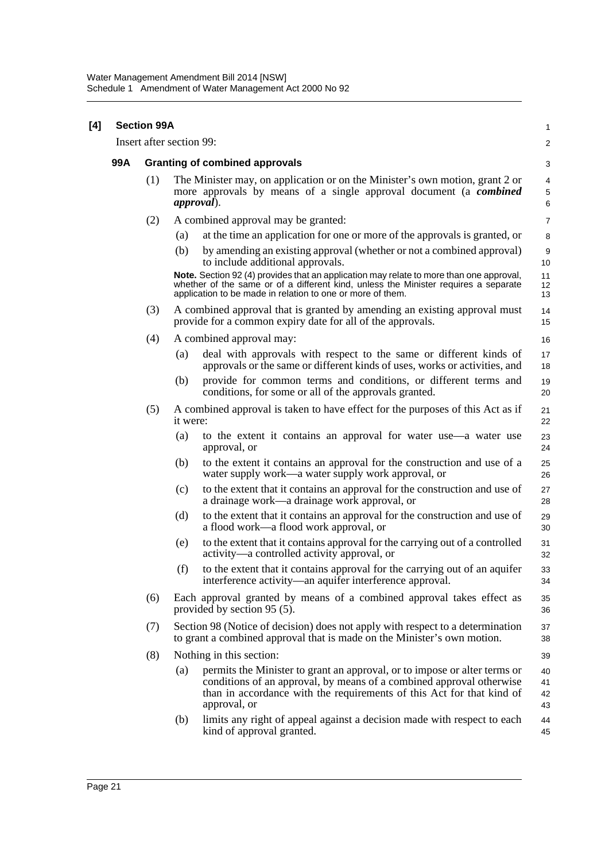| [4] | <b>Section 99A</b> |     |                          |                                                                                                                                                                                                                                              |                      |  |
|-----|--------------------|-----|--------------------------|----------------------------------------------------------------------------------------------------------------------------------------------------------------------------------------------------------------------------------------------|----------------------|--|
|     |                    |     | Insert after section 99: |                                                                                                                                                                                                                                              | $\overline{a}$       |  |
|     | 99A                |     |                          | <b>Granting of combined approvals</b>                                                                                                                                                                                                        | 3                    |  |
|     |                    | (1) | <i>approval</i> ).       | The Minister may, on application or on the Minister's own motion, grant 2 or<br>more approvals by means of a single approval document (a <b><i>combined</i></b>                                                                              | 4<br>5<br>6          |  |
|     |                    | (2) |                          | A combined approval may be granted:                                                                                                                                                                                                          | $\overline{7}$       |  |
|     |                    |     | (a)                      | at the time an application for one or more of the approvals is granted, or                                                                                                                                                                   | 8                    |  |
|     |                    |     | (b)                      | by amending an existing approval (whether or not a combined approval)<br>to include additional approvals.                                                                                                                                    | 9<br>10              |  |
|     |                    |     |                          | Note. Section 92 (4) provides that an application may relate to more than one approval,<br>whether of the same or of a different kind, unless the Minister requires a separate<br>application to be made in relation to one or more of them. | 11<br>12<br>13       |  |
|     |                    | (3) |                          | A combined approval that is granted by amending an existing approval must<br>provide for a common expiry date for all of the approvals.                                                                                                      | 14<br>15             |  |
|     |                    | (4) |                          | A combined approval may:                                                                                                                                                                                                                     | 16                   |  |
|     |                    |     | (a)                      | deal with approvals with respect to the same or different kinds of<br>approvals or the same or different kinds of uses, works or activities, and                                                                                             | 17<br>18             |  |
|     |                    |     | (b)                      | provide for common terms and conditions, or different terms and<br>conditions, for some or all of the approvals granted.                                                                                                                     | 19<br>20             |  |
|     |                    | (5) | it were:                 | A combined approval is taken to have effect for the purposes of this Act as if                                                                                                                                                               | 21<br>22             |  |
|     |                    |     | (a)                      | to the extent it contains an approval for water use—a water use<br>approval, or                                                                                                                                                              | 23<br>24             |  |
|     |                    |     | (b)                      | to the extent it contains an approval for the construction and use of a<br>water supply work—a water supply work approval, or                                                                                                                | 25<br>26             |  |
|     |                    |     | (c)                      | to the extent that it contains an approval for the construction and use of<br>a drainage work—a drainage work approval, or                                                                                                                   | 27<br>28             |  |
|     |                    |     | (d)                      | to the extent that it contains an approval for the construction and use of<br>a flood work—a flood work approval, or                                                                                                                         | 29<br>30             |  |
|     |                    |     | (e)                      | to the extent that it contains approval for the carrying out of a controlled<br>activity—a controlled activity approval, or                                                                                                                  | 31<br>32             |  |
|     |                    |     | (f)                      | to the extent that it contains approval for the carrying out of an aquifer<br>interference activity—an aquifer interference approval.                                                                                                        | 33<br>34             |  |
|     |                    | (6) |                          | Each approval granted by means of a combined approval takes effect as<br>provided by section 95 (5).                                                                                                                                         | 35<br>36             |  |
|     |                    | (7) |                          | Section 98 (Notice of decision) does not apply with respect to a determination<br>to grant a combined approval that is made on the Minister's own motion.                                                                                    | 37<br>38             |  |
|     |                    | (8) |                          | Nothing in this section:                                                                                                                                                                                                                     | 39                   |  |
|     |                    |     | (a)                      | permits the Minister to grant an approval, or to impose or alter terms or<br>conditions of an approval, by means of a combined approval otherwise<br>than in accordance with the requirements of this Act for that kind of<br>approval, or   | 40<br>41<br>42<br>43 |  |
|     |                    |     | (b)                      | limits any right of appeal against a decision made with respect to each<br>kind of approval granted.                                                                                                                                         | 44<br>45             |  |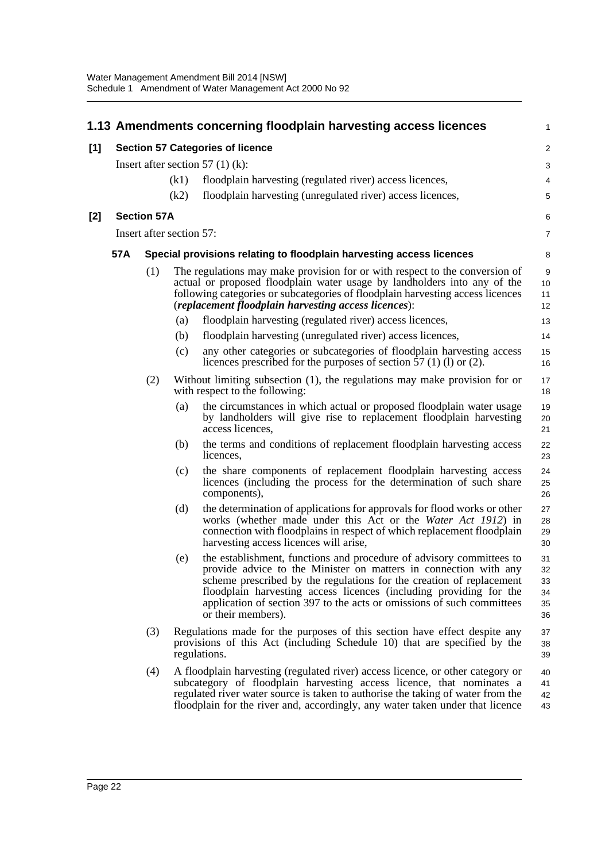|       |     |                          |      | 1.13 Amendments concerning floodplain harvesting access licences                                                                                                                                                                                                                                                                                                                       | $\mathbf{1}$                     |
|-------|-----|--------------------------|------|----------------------------------------------------------------------------------------------------------------------------------------------------------------------------------------------------------------------------------------------------------------------------------------------------------------------------------------------------------------------------------------|----------------------------------|
| [1]   |     |                          |      | <b>Section 57 Categories of licence</b>                                                                                                                                                                                                                                                                                                                                                | $\overline{2}$                   |
|       |     |                          |      | Insert after section 57 $(1)$ (k):                                                                                                                                                                                                                                                                                                                                                     | 3                                |
|       |     |                          | (k1) | floodplain harvesting (regulated river) access licences,                                                                                                                                                                                                                                                                                                                               | 4                                |
|       |     |                          | (k2) | floodplain harvesting (unregulated river) access licences,                                                                                                                                                                                                                                                                                                                             | 5                                |
| $[2]$ |     | <b>Section 57A</b>       |      |                                                                                                                                                                                                                                                                                                                                                                                        | 6                                |
|       |     | Insert after section 57: |      |                                                                                                                                                                                                                                                                                                                                                                                        | $\overline{7}$                   |
|       | 57A |                          |      | Special provisions relating to floodplain harvesting access licences                                                                                                                                                                                                                                                                                                                   | 8                                |
|       |     | (1)                      |      | The regulations may make provision for or with respect to the conversion of<br>actual or proposed floodplain water usage by landholders into any of the<br>following categories or subcategories of floodplain harvesting access licences<br>(replacement floodplain harvesting access licences):                                                                                      | 9<br>10<br>11<br>12              |
|       |     |                          | (a)  | floodplain harvesting (regulated river) access licences,                                                                                                                                                                                                                                                                                                                               | 13                               |
|       |     |                          | (b)  | floodplain harvesting (unregulated river) access licences,                                                                                                                                                                                                                                                                                                                             | 14                               |
|       |     |                          | (c)  | any other categories or subcategories of floodplain harvesting access<br>licences prescribed for the purposes of section 57 (1) (1) or (2).                                                                                                                                                                                                                                            | 15<br>16                         |
|       |     | (2)                      |      | Without limiting subsection (1), the regulations may make provision for or<br>with respect to the following:                                                                                                                                                                                                                                                                           | 17<br>18                         |
|       |     |                          | (a)  | the circumstances in which actual or proposed floodplain water usage<br>by landholders will give rise to replacement floodplain harvesting<br>access licences,                                                                                                                                                                                                                         | 19<br>20<br>21                   |
|       |     |                          | (b)  | the terms and conditions of replacement floodplain harvesting access<br>licences,                                                                                                                                                                                                                                                                                                      | 22<br>23                         |
|       |     |                          | (c)  | the share components of replacement floodplain harvesting access<br>licences (including the process for the determination of such share<br>components),                                                                                                                                                                                                                                | 24<br>25<br>26                   |
|       |     |                          | (d)  | the determination of applications for approvals for flood works or other<br>works (whether made under this Act or the Water Act 1912) in<br>connection with floodplains in respect of which replacement floodplain<br>harvesting access licences will arise,                                                                                                                           | 27<br>28<br>29<br>30             |
|       |     |                          | (e)  | the establishment, functions and procedure of advisory committees to<br>provide advice to the Minister on matters in connection with any<br>scheme prescribed by the regulations for the creation of replacement<br>floodplain harvesting access licences (including providing for the<br>application of section 397 to the acts or omissions of such committees<br>or their members). | 31<br>32<br>33<br>34<br>35<br>36 |
|       |     | (3)                      |      | Regulations made for the purposes of this section have effect despite any<br>provisions of this Act (including Schedule 10) that are specified by the<br>regulations.                                                                                                                                                                                                                  | 37<br>38<br>39                   |
|       |     | (4)                      |      | A floodplain harvesting (regulated river) access licence, or other category or<br>subcategory of floodplain harvesting access licence, that nominates a<br>regulated river water source is taken to authorise the taking of water from the<br>floodplain for the river and, accordingly, any water taken under that licence                                                            | 40<br>41<br>42<br>43             |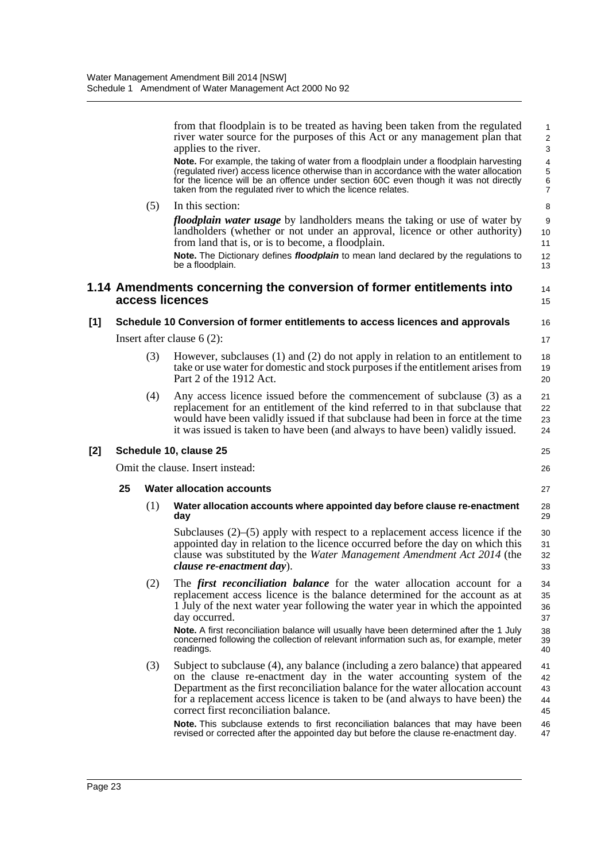|       |    |     | from that floodplain is to be treated as having been taken from the regulated<br>river water source for the purposes of this Act or any management plan that<br>applies to the river.                                                                                                                                                                               | $\mathbf{1}$<br>$\sqrt{2}$<br>$\mathsf 3$                 |
|-------|----|-----|---------------------------------------------------------------------------------------------------------------------------------------------------------------------------------------------------------------------------------------------------------------------------------------------------------------------------------------------------------------------|-----------------------------------------------------------|
|       |    |     | Note. For example, the taking of water from a floodplain under a floodplain harvesting<br>(regulated river) access licence otherwise than in accordance with the water allocation<br>for the licence will be an offence under section 60C even though it was not directly<br>taken from the regulated river to which the licence relates.                           | $\overline{4}$<br>5<br>$\boldsymbol{6}$<br>$\overline{7}$ |
|       |    | (5) | In this section:                                                                                                                                                                                                                                                                                                                                                    | 8                                                         |
|       |    |     | <i>floodplain water usage</i> by landholders means the taking or use of water by<br>landholders (whether or not under an approval, licence or other authority)<br>from land that is, or is to become, a floodplain.                                                                                                                                                 | 9<br>10<br>11                                             |
|       |    |     | Note. The Dictionary defines <i>floodplain</i> to mean land declared by the regulations to<br>be a floodplain.                                                                                                                                                                                                                                                      | 12<br>13                                                  |
|       |    |     | 1.14 Amendments concerning the conversion of former entitlements into<br>access licences                                                                                                                                                                                                                                                                            | 14<br>15                                                  |
| [1]   |    |     | Schedule 10 Conversion of former entitlements to access licences and approvals                                                                                                                                                                                                                                                                                      | 16                                                        |
|       |    |     | Insert after clause $6(2)$ :                                                                                                                                                                                                                                                                                                                                        | 17                                                        |
|       |    | (3) | However, subclauses $(1)$ and $(2)$ do not apply in relation to an entitlement to<br>take or use water for domestic and stock purposes if the entitlement arises from<br>Part 2 of the 1912 Act.                                                                                                                                                                    | 18<br>19<br>20                                            |
|       |    | (4) | Any access licence issued before the commencement of subclause (3) as a<br>replacement for an entitlement of the kind referred to in that subclause that<br>would have been validly issued if that subclause had been in force at the time<br>it was issued is taken to have been (and always to have been) validly issued.                                         | 21<br>22<br>23<br>24                                      |
| $[2]$ |    |     | Schedule 10, clause 25                                                                                                                                                                                                                                                                                                                                              | 25                                                        |
|       |    |     | Omit the clause. Insert instead:                                                                                                                                                                                                                                                                                                                                    | 26                                                        |
|       | 25 |     | <b>Water allocation accounts</b>                                                                                                                                                                                                                                                                                                                                    | 27                                                        |
|       |    | (1) | Water allocation accounts where appointed day before clause re-enactment<br>day                                                                                                                                                                                                                                                                                     | 28<br>29                                                  |
|       |    |     | Subclauses $(2)$ – $(5)$ apply with respect to a replacement access licence if the<br>appointed day in relation to the licence occurred before the day on which this<br>clause was substituted by the Water Management Amendment Act 2014 (the<br><i>clause re-enactment day</i> ).                                                                                 | 30<br>31<br>32<br>33                                      |
|       |    | (2) | The <i>first reconciliation balance</i> for the water allocation account for a<br>replacement access licence is the balance determined for the account as at<br>1 July of the next water year following the water year in which the appointed<br>day occurred.                                                                                                      | 34<br>35<br>36<br>37                                      |
|       |    |     | Note. A first reconciliation balance will usually have been determined after the 1 July<br>concerned following the collection of relevant information such as, for example, meter<br>readings.                                                                                                                                                                      | 38<br>39<br>40                                            |
|       |    | (3) | Subject to subclause (4), any balance (including a zero balance) that appeared<br>on the clause re-enactment day in the water accounting system of the<br>Department as the first reconciliation balance for the water allocation account<br>for a replacement access licence is taken to be (and always to have been) the<br>correct first reconciliation balance. | 41<br>42<br>43<br>44<br>45                                |
|       |    |     | Note. This subclause extends to first reconciliation balances that may have been<br>revised or corrected after the appointed day but before the clause re-enactment day.                                                                                                                                                                                            | 46<br>47                                                  |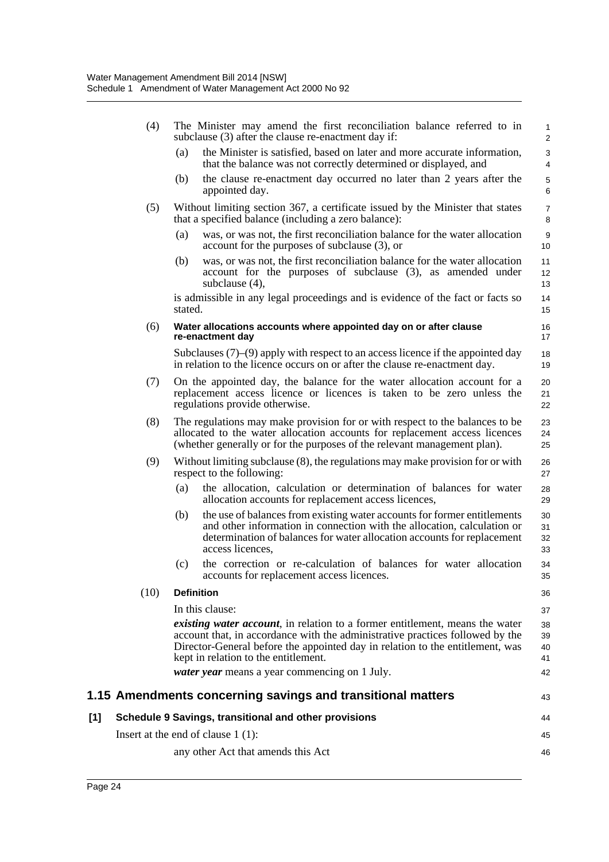|     | (4)  |         | The Minister may amend the first reconciliation balance referred to in<br>subclause (3) after the clause re-enactment day if:                                                                                                                                                                  | 1<br>$\overline{\mathbf{c}}$ |
|-----|------|---------|------------------------------------------------------------------------------------------------------------------------------------------------------------------------------------------------------------------------------------------------------------------------------------------------|------------------------------|
|     |      | (a)     | the Minister is satisfied, based on later and more accurate information,<br>that the balance was not correctly determined or displayed, and                                                                                                                                                    | 3<br>4                       |
|     |      | (b)     | the clause re-enactment day occurred no later than 2 years after the<br>appointed day.                                                                                                                                                                                                         | 5<br>6                       |
|     | (5)  |         | Without limiting section 367, a certificate issued by the Minister that states<br>that a specified balance (including a zero balance):                                                                                                                                                         | 7<br>8                       |
|     |      | (a)     | was, or was not, the first reconciliation balance for the water allocation<br>account for the purposes of subclause $(3)$ , or                                                                                                                                                                 | 9<br>10                      |
|     |      | (b)     | was, or was not, the first reconciliation balance for the water allocation<br>account for the purposes of subclause (3), as amended under<br>subclause (4),                                                                                                                                    | 11<br>12<br>13               |
|     |      | stated. | is admissible in any legal proceedings and is evidence of the fact or facts so                                                                                                                                                                                                                 | 14<br>15                     |
|     | (6)  |         | Water allocations accounts where appointed day on or after clause<br>re-enactment day                                                                                                                                                                                                          | 16<br>17                     |
|     |      |         | Subclauses $(7)$ – $(9)$ apply with respect to an access licence if the appointed day<br>in relation to the licence occurs on or after the clause re-enactment day.                                                                                                                            | 18<br>19                     |
|     | (7)  |         | On the appointed day, the balance for the water allocation account for a<br>replacement access licence or licences is taken to be zero unless the<br>regulations provide otherwise.                                                                                                            | 20<br>21<br>22               |
|     | (8)  |         | The regulations may make provision for or with respect to the balances to be<br>allocated to the water allocation accounts for replacement access licences<br>(whether generally or for the purposes of the relevant management plan).                                                         | 23<br>24<br>25               |
|     | (9)  |         | Without limiting subclause (8), the regulations may make provision for or with<br>respect to the following:                                                                                                                                                                                    | 26<br>27                     |
|     |      | (a)     | the allocation, calculation or determination of balances for water<br>allocation accounts for replacement access licences,                                                                                                                                                                     | 28<br>29                     |
|     |      | (b)     | the use of balances from existing water accounts for former entitlements<br>and other information in connection with the allocation, calculation or<br>determination of balances for water allocation accounts for replacement<br>access licences,                                             | 30<br>31<br>32<br>33         |
|     |      | (c)     | the correction or re-calculation of balances for water allocation<br>accounts for replacement access licences.                                                                                                                                                                                 | 34<br>35                     |
|     | (10) |         | <b>Definition</b>                                                                                                                                                                                                                                                                              | 36                           |
|     |      |         | In this clause:                                                                                                                                                                                                                                                                                | 37                           |
|     |      |         | <i>existing water account</i> , in relation to a former entitlement, means the water<br>account that, in accordance with the administrative practices followed by the<br>Director-General before the appointed day in relation to the entitlement, was<br>kept in relation to the entitlement. | 38<br>39<br>40<br>41         |
|     |      |         | <i>water year</i> means a year commencing on 1 July.                                                                                                                                                                                                                                           | 42                           |
|     |      |         | 1.15 Amendments concerning savings and transitional matters                                                                                                                                                                                                                                    | 43                           |
| [1] |      |         | Schedule 9 Savings, transitional and other provisions                                                                                                                                                                                                                                          | 44                           |
|     |      |         | Insert at the end of clause $1(1)$ :                                                                                                                                                                                                                                                           | 45                           |
|     |      |         | any other Act that amends this Act                                                                                                                                                                                                                                                             | 46                           |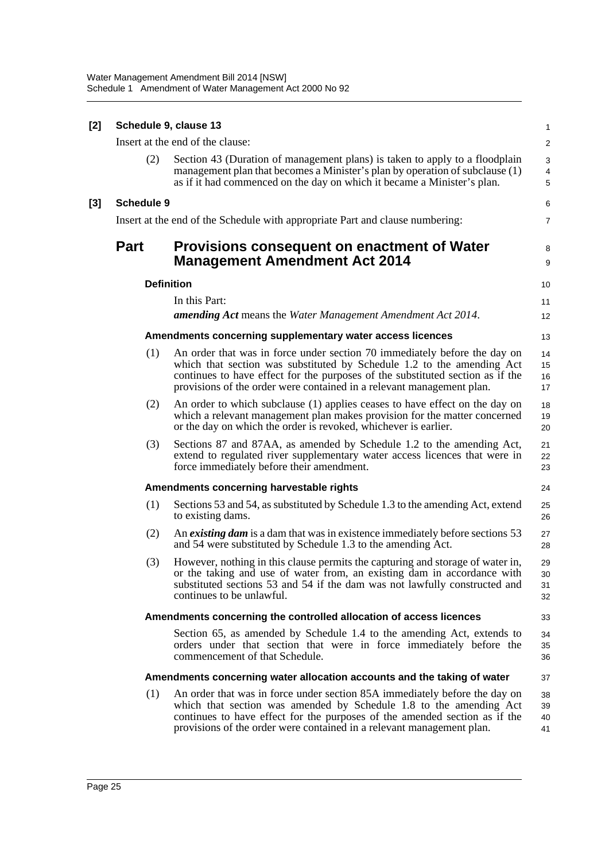| [2] |                                  | Schedule 9, clause 13                                                                                                                                                                                                                                                                                          | $\mathbf{1}$                      |
|-----|----------------------------------|----------------------------------------------------------------------------------------------------------------------------------------------------------------------------------------------------------------------------------------------------------------------------------------------------------------|-----------------------------------|
|     | Insert at the end of the clause: |                                                                                                                                                                                                                                                                                                                |                                   |
|     | (2)                              | Section 43 (Duration of management plans) is taken to apply to a floodplain<br>management plan that becomes a Minister's plan by operation of subclause (1)<br>as if it had commenced on the day on which it became a Minister's plan.                                                                         | 3<br>$\overline{\mathbf{4}}$<br>5 |
| [3] | <b>Schedule 9</b>                |                                                                                                                                                                                                                                                                                                                | 6                                 |
|     |                                  | Insert at the end of the Schedule with appropriate Part and clause numbering:                                                                                                                                                                                                                                  | $\overline{7}$                    |
|     | <b>Part</b>                      | <b>Provisions consequent on enactment of Water</b><br><b>Management Amendment Act 2014</b>                                                                                                                                                                                                                     | 8<br>9                            |
|     |                                  | <b>Definition</b>                                                                                                                                                                                                                                                                                              | 10                                |
|     |                                  | In this Part:<br><b>amending Act</b> means the Water Management Amendment Act 2014.                                                                                                                                                                                                                            | 11<br>12                          |
|     |                                  | Amendments concerning supplementary water access licences                                                                                                                                                                                                                                                      | 13                                |
|     | (1)                              | An order that was in force under section 70 immediately before the day on<br>which that section was substituted by Schedule 1.2 to the amending Act<br>continues to have effect for the purposes of the substituted section as if the<br>provisions of the order were contained in a relevant management plan. | 14<br>15<br>16<br>17              |
|     | (2)                              | An order to which subclause (1) applies ceases to have effect on the day on<br>which a relevant management plan makes provision for the matter concerned<br>or the day on which the order is revoked, whichever is earlier.                                                                                    | 18<br>19<br>20                    |
|     | (3)                              | Sections 87 and 87AA, as amended by Schedule 1.2 to the amending Act,<br>extend to regulated river supplementary water access licences that were in<br>force immediately before their amendment.                                                                                                               | 21<br>22<br>23                    |
|     |                                  | Amendments concerning harvestable rights                                                                                                                                                                                                                                                                       | 24                                |
|     | (1)                              | Sections 53 and 54, as substituted by Schedule 1.3 to the amending Act, extend<br>to existing dams.                                                                                                                                                                                                            | 25<br>26                          |
|     | (2)                              | An existing dam is a dam that was in existence immediately before sections 53<br>and 54 were substituted by Schedule 1.3 to the amending Act.                                                                                                                                                                  | 27<br>28                          |
|     | (3)                              | However, nothing in this clause permits the capturing and storage of water in,<br>or the taking and use of water from, an existing dam in accordance with<br>substituted sections 53 and 54 if the dam was not lawfully constructed and<br>continues to be unlawful.                                           | 29<br>30<br>31<br>32              |
|     |                                  | Amendments concerning the controlled allocation of access licences                                                                                                                                                                                                                                             | 33                                |
|     |                                  | Section 65, as amended by Schedule 1.4 to the amending Act, extends to<br>orders under that section that were in force immediately before the<br>commencement of that Schedule.                                                                                                                                | 34<br>35<br>36                    |
|     |                                  | Amendments concerning water allocation accounts and the taking of water                                                                                                                                                                                                                                        | 37                                |
|     | (1)                              | An order that was in force under section 85A immediately before the day on<br>which that section was amended by Schedule 1.8 to the amending Act<br>continues to have effect for the purposes of the amended section as if the<br>provisions of the order were contained in a relevant management plan.        | 38<br>39<br>40<br>41              |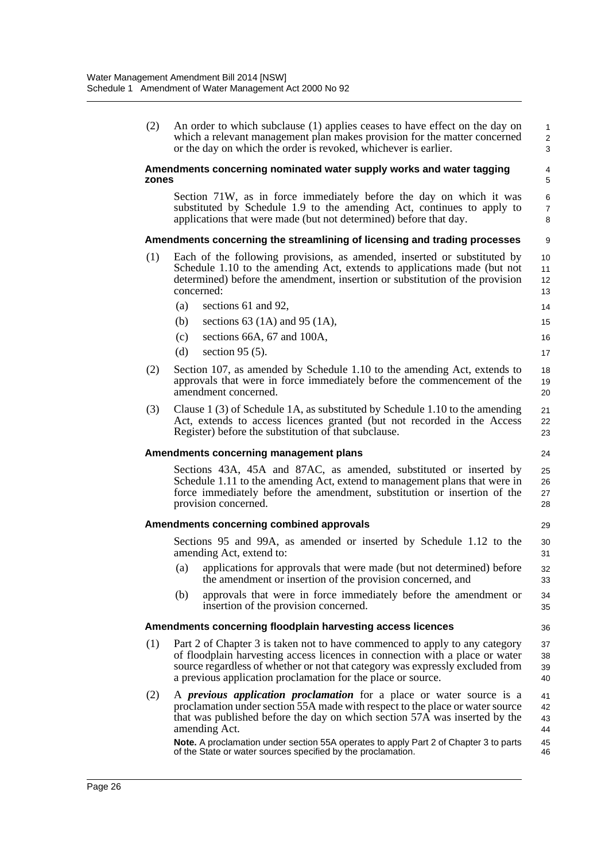(2) An order to which subclause (1) applies ceases to have effect on the day on which a relevant management plan makes provision for the matter concerned or the day on which the order is revoked, whichever is earlier.

#### **Amendments concerning nominated water supply works and water tagging zones**

Section 71W, as in force immediately before the day on which it was substituted by Schedule 1.9 to the amending Act, continues to apply to applications that were made (but not determined) before that day.

24

29

36

#### **Amendments concerning the streamlining of licensing and trading processes**

- (1) Each of the following provisions, as amended, inserted or substituted by Schedule 1.10 to the amending Act, extends to applications made (but not determined) before the amendment, insertion or substitution of the provision concerned:
	- (a) sections 61 and 92, 14 15
	- (b) sections 63 (1A) and 95 (1A),
	- (c) sections 66A, 67 and 100A, (d) section 95 (5).
- (2) Section 107, as amended by Schedule 1.10 to the amending Act, extends to approvals that were in force immediately before the commencement of the amendment concerned.
- (3) Clause 1 (3) of Schedule 1A, as substituted by Schedule 1.10 to the amending Act, extends to access licences granted (but not recorded in the Access Register) before the substitution of that subclause.

#### **Amendments concerning management plans**

Sections 43A, 45A and 87AC, as amended, substituted or inserted by Schedule 1.11 to the amending Act, extend to management plans that were in force immediately before the amendment, substitution or insertion of the provision concerned. 25 26 27 28

#### **Amendments concerning combined approvals**

Sections 95 and 99A, as amended or inserted by Schedule 1.12 to the amending Act, extend to: 30 31

- (a) applications for approvals that were made (but not determined) before the amendment or insertion of the provision concerned, and
- (b) approvals that were in force immediately before the amendment or insertion of the provision concerned.

#### **Amendments concerning floodplain harvesting access licences**

- (1) Part 2 of Chapter 3 is taken not to have commenced to apply to any category of floodplain harvesting access licences in connection with a place or water source regardless of whether or not that category was expressly excluded from a previous application proclamation for the place or source. 37 38 39 40
- (2) A *previous application proclamation* for a place or water source is a proclamation under section 55A made with respect to the place or water source that was published before the day on which section 57A was inserted by the amending Act. 41 42 43 44

**Note.** A proclamation under section 55A operates to apply Part 2 of Chapter 3 to parts of the State or water sources specified by the proclamation. 45 46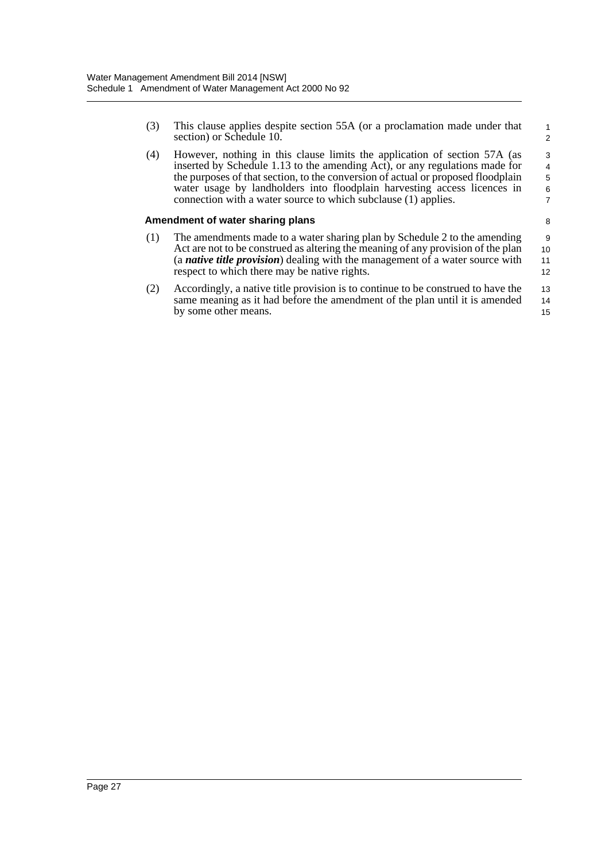(3) This clause applies despite section 55A (or a proclamation made under that section) or Schedule 10.

1 2

8

(4) However, nothing in this clause limits the application of section 57A (as inserted by Schedule 1.13 to the amending Act), or any regulations made for the purposes of that section, to the conversion of actual or proposed floodplain water usage by landholders into floodplain harvesting access licences in connection with a water source to which subclause (1) applies. 3 4 5 6 7

#### **Amendment of water sharing plans**

- (1) The amendments made to a water sharing plan by Schedule 2 to the amending Act are not to be construed as altering the meaning of any provision of the plan (a *native title provision*) dealing with the management of a water source with respect to which there may be native rights. 9 10 11 12
- (2) Accordingly, a native title provision is to continue to be construed to have the same meaning as it had before the amendment of the plan until it is amended by some other means. 13 14 15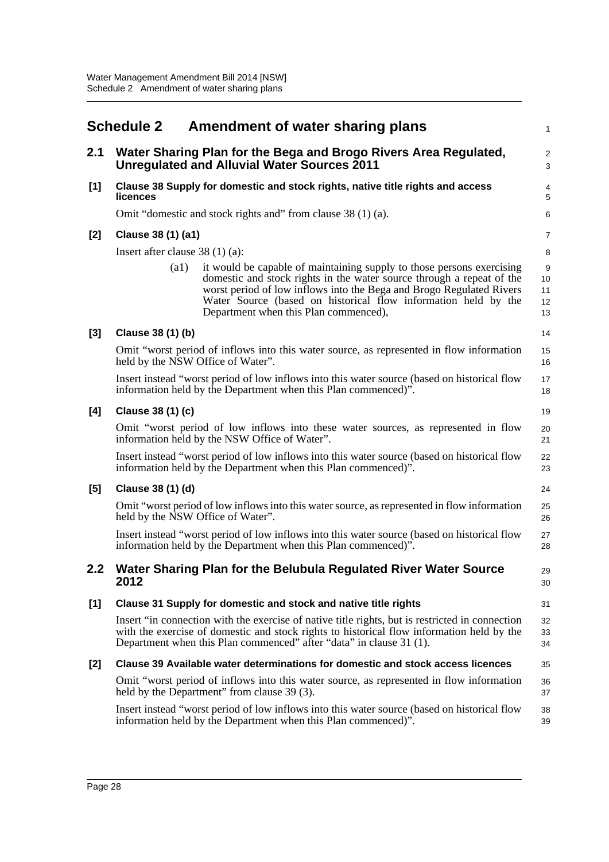<span id="page-34-0"></span>

|                  | <b>Schedule 2</b>                 | Amendment of water sharing plans                                                                                                                                                                                                                                                                                                  | $\mathbf{1}$                 |
|------------------|-----------------------------------|-----------------------------------------------------------------------------------------------------------------------------------------------------------------------------------------------------------------------------------------------------------------------------------------------------------------------------------|------------------------------|
| 2.1              |                                   | Water Sharing Plan for the Bega and Brogo Rivers Area Regulated,<br><b>Unregulated and Alluvial Water Sources 2011</b>                                                                                                                                                                                                            | $\sqrt{2}$<br>3              |
| [1]              | <b>licences</b>                   | Clause 38 Supply for domestic and stock rights, native title rights and access                                                                                                                                                                                                                                                    | $\overline{\mathbf{4}}$<br>5 |
|                  |                                   | Omit "domestic and stock rights and" from clause 38 (1) (a).                                                                                                                                                                                                                                                                      | 6                            |
| $[2]$            | Clause 38 (1) (a1)                |                                                                                                                                                                                                                                                                                                                                   | 7                            |
|                  | Insert after clause $38(1)(a)$ :  |                                                                                                                                                                                                                                                                                                                                   | 8                            |
|                  | (a1)                              | it would be capable of maintaining supply to those persons exercising<br>domestic and stock rights in the water source through a repeat of the<br>worst period of low inflows into the Bega and Brogo Regulated Rivers<br>Water Source (based on historical flow information held by the<br>Department when this Plan commenced), | 9<br>10<br>11<br>12<br>13    |
| $[3]$            | Clause 38 (1) (b)                 |                                                                                                                                                                                                                                                                                                                                   | 14                           |
|                  | held by the NSW Office of Water". | Omit "worst period of inflows into this water source, as represented in flow information                                                                                                                                                                                                                                          | 15<br>16                     |
|                  |                                   | Insert instead "worst period of low inflows into this water source (based on historical flow<br>information held by the Department when this Plan commenced)".                                                                                                                                                                    | 17<br>18                     |
| [4]              | Clause 38 (1) (c)                 |                                                                                                                                                                                                                                                                                                                                   | 19                           |
|                  |                                   | Omit "worst period of low inflows into these water sources, as represented in flow<br>information held by the NSW Office of Water".                                                                                                                                                                                               | 20<br>21                     |
|                  |                                   | Insert instead "worst period of low inflows into this water source (based on historical flow<br>information held by the Department when this Plan commenced)".                                                                                                                                                                    | 22<br>23                     |
| [5]              | Clause 38 (1) (d)                 |                                                                                                                                                                                                                                                                                                                                   | 24                           |
|                  | held by the NSW Office of Water". | Omit "worst period of low inflows into this water source, as represented in flow information                                                                                                                                                                                                                                      | 25<br>26                     |
|                  |                                   | Insert instead "worst period of low inflows into this water source (based on historical flow<br>information held by the Department when this Plan commenced)".                                                                                                                                                                    | 27<br>28                     |
| $2.2\phantom{0}$ | 2012                              | Water Sharing Plan for the Belubula Regulated River Water Source                                                                                                                                                                                                                                                                  | 29<br>30                     |
| [1]              |                                   | Clause 31 Supply for domestic and stock and native title rights                                                                                                                                                                                                                                                                   | 31                           |
|                  |                                   | Insert "in connection with the exercise of native title rights, but is restricted in connection<br>with the exercise of domestic and stock rights to historical flow information held by the<br>Department when this Plan commenced" after "data" in clause 31 (1).                                                               | 32<br>33<br>34               |
| [2]              |                                   | Clause 39 Available water determinations for domestic and stock access licences                                                                                                                                                                                                                                                   | 35                           |
|                  |                                   | Omit "worst period of inflows into this water source, as represented in flow information<br>held by the Department" from clause 39 (3).                                                                                                                                                                                           | 36<br>37                     |
|                  |                                   | Insert instead "worst period of low inflows into this water source (based on historical flow<br>information held by the Department when this Plan commenced)".                                                                                                                                                                    | 38<br>39                     |
|                  |                                   |                                                                                                                                                                                                                                                                                                                                   |                              |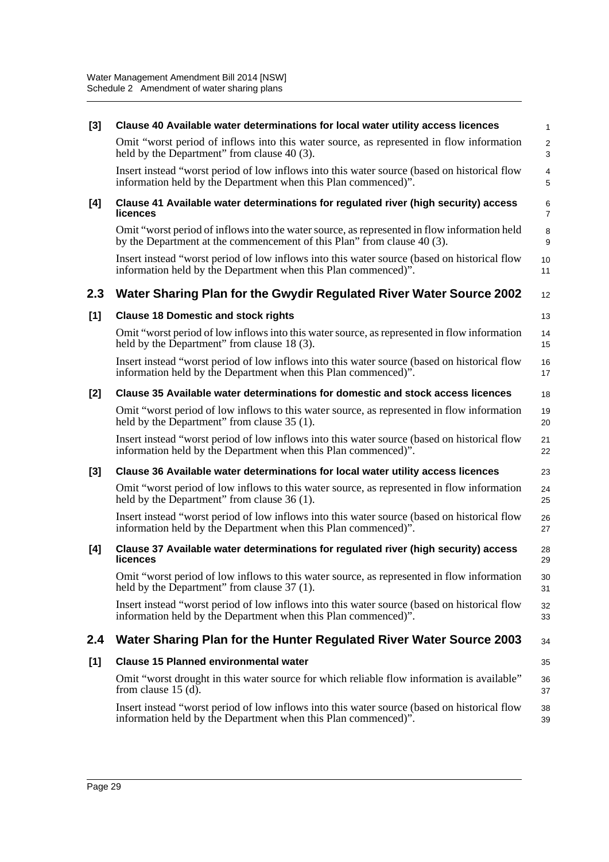| $[3]$ | Clause 40 Available water determinations for local water utility access licences                                                                                        | $\mathbf{1}$              |
|-------|-------------------------------------------------------------------------------------------------------------------------------------------------------------------------|---------------------------|
|       | Omit "worst period of inflows into this water source, as represented in flow information<br>held by the Department" from clause 40 (3).                                 | $\sqrt{2}$<br>$\mathsf 3$ |
|       | Insert instead "worst period of low inflows into this water source (based on historical flow<br>information held by the Department when this Plan commenced)".          | $\overline{4}$<br>5       |
| [4]   | Clause 41 Available water determinations for regulated river (high security) access<br>licences                                                                         | 6<br>$\overline{7}$       |
|       | Omit "worst period of inflows into the water source, as represented in flow information held<br>by the Department at the commencement of this Plan" from clause 40 (3). | 8<br>9                    |
|       | Insert instead "worst period of low inflows into this water source (based on historical flow<br>information held by the Department when this Plan commenced)".          | 10<br>11                  |
| 2.3   | Water Sharing Plan for the Gwydir Regulated River Water Source 2002                                                                                                     | 12                        |
| [1]   | <b>Clause 18 Domestic and stock rights</b>                                                                                                                              | 13                        |
|       | Omit "worst period of low inflows into this water source, as represented in flow information<br>held by the Department" from clause 18(3).                              | 14<br>15                  |
|       | Insert instead "worst period of low inflows into this water source (based on historical flow<br>information held by the Department when this Plan commenced)".          | 16<br>17                  |
| $[2]$ | Clause 35 Available water determinations for domestic and stock access licences                                                                                         | 18                        |
|       | Omit "worst period of low inflows to this water source, as represented in flow information<br>held by the Department" from clause 35 (1).                               | 19<br>20                  |
|       | Insert instead "worst period of low inflows into this water source (based on historical flow<br>information held by the Department when this Plan commenced)".          | 21<br>22                  |
| $[3]$ | Clause 36 Available water determinations for local water utility access licences                                                                                        | 23                        |
|       | Omit "worst period of low inflows to this water source, as represented in flow information<br>held by the Department" from clause 36 (1).                               | 24<br>25                  |
|       | Insert instead "worst period of low inflows into this water source (based on historical flow<br>information held by the Department when this Plan commenced)".          | 26<br>27                  |
| [4]   | Clause 37 Available water determinations for regulated river (high security) access<br>licences                                                                         | 28<br>29                  |
|       | Omit "worst period of low inflows to this water source, as represented in flow information<br>held by the Department" from clause 37 (1).                               | $30\,$<br>31              |
|       | Insert instead "worst period of low inflows into this water source (based on historical flow<br>information held by the Department when this Plan commenced)".          | 32<br>33                  |
| 2.4   | Water Sharing Plan for the Hunter Regulated River Water Source 2003                                                                                                     | 34                        |
| [1]   | <b>Clause 15 Planned environmental water</b>                                                                                                                            | 35                        |
|       | Omit "worst drought in this water source for which reliable flow information is available"<br>from clause $15$ (d).                                                     | 36<br>37                  |
|       | Insert instead "worst period of low inflows into this water source (based on historical flow<br>information held by the Department when this Plan commenced)".          | 38<br>39                  |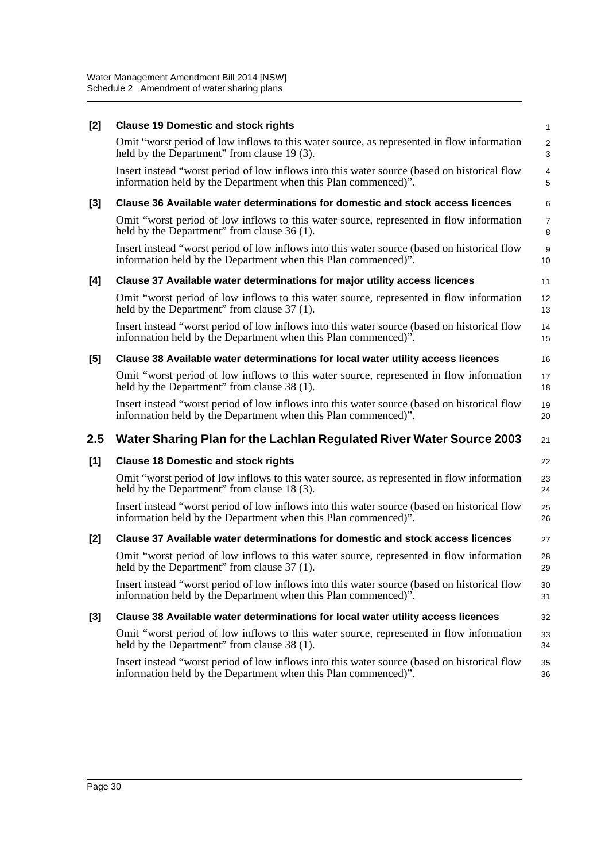| $[2]$ | <b>Clause 19 Domestic and stock rights</b>                                                                                                                     | $\mathbf{1}$        |
|-------|----------------------------------------------------------------------------------------------------------------------------------------------------------------|---------------------|
|       | Omit "worst period of low inflows to this water source, as represented in flow information<br>held by the Department" from clause 19 (3).                      | $\overline{2}$<br>3 |
|       | Insert instead "worst period of low inflows into this water source (based on historical flow<br>information held by the Department when this Plan commenced)". | 4<br>5              |
| $[3]$ | Clause 36 Available water determinations for domestic and stock access licences                                                                                | 6                   |
|       | Omit "worst period of low inflows to this water source, represented in flow information<br>held by the Department" from clause 36 (1).                         | 7<br>8              |
|       | Insert instead "worst period of low inflows into this water source (based on historical flow<br>information held by the Department when this Plan commenced)". | 9<br>10             |
| [4]   | Clause 37 Available water determinations for major utility access licences                                                                                     | 11                  |
|       | Omit "worst period of low inflows to this water source, represented in flow information<br>held by the Department" from clause 37 (1).                         | 12<br>13            |
|       | Insert instead "worst period of low inflows into this water source (based on historical flow<br>information held by the Department when this Plan commenced)". | 14<br>15            |
| [5]   | Clause 38 Available water determinations for local water utility access licences                                                                               | 16                  |
|       | Omit "worst period of low inflows to this water source, represented in flow information<br>held by the Department" from clause 38 (1).                         | 17<br>18            |
|       | Insert instead "worst period of low inflows into this water source (based on historical flow<br>information held by the Department when this Plan commenced)". | 19<br>20            |
| 2.5   | Water Sharing Plan for the Lachlan Regulated River Water Source 2003                                                                                           | 21                  |
| [1]   | <b>Clause 18 Domestic and stock rights</b>                                                                                                                     | 22                  |
|       | Omit "worst period of low inflows to this water source, as represented in flow information<br>held by the Department" from clause 18 (3).                      | 23<br>24            |
|       | Insert instead "worst period of low inflows into this water source (based on historical flow<br>information held by the Department when this Plan commenced)". | 25<br>26            |
| $[2]$ | Clause 37 Available water determinations for domestic and stock access licences                                                                                | 27                  |
|       | Omit "worst period of low inflows to this water source, represented in flow information<br>held by the Department" from clause 37 (1).                         | 28<br>29            |
|       | Insert instead "worst period of low inflows into this water source (based on historical flow<br>information held by the Department when this Plan commenced)". | 30<br>31            |
| $[3]$ | Clause 38 Available water determinations for local water utility access licences                                                                               | 32                  |
|       | Omit "worst period of low inflows to this water source, represented in flow information<br>held by the Department" from clause 38 (1).                         | 33<br>34            |
|       | Insert instead "worst period of low inflows into this water source (based on historical flow<br>information held by the Department when this Plan commenced)". | 35<br>36            |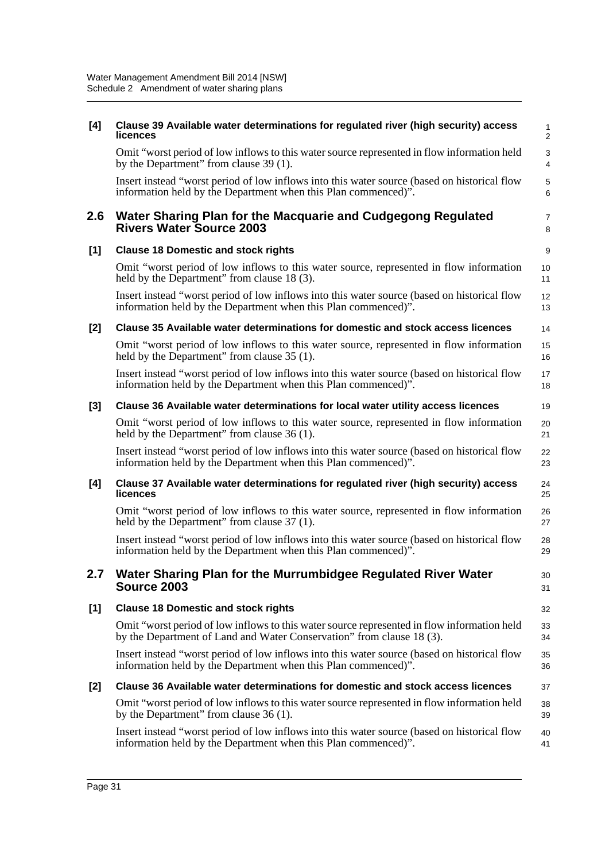| [4]   | Clause 39 Available water determinations for regulated river (high security) access<br>licences                                                                      | 1<br>$\overline{\mathbf{c}}$ |
|-------|----------------------------------------------------------------------------------------------------------------------------------------------------------------------|------------------------------|
|       | Omit "worst period of low inflows to this water source represented in flow information held<br>by the Department" from clause 39 (1).                                | 3<br>4                       |
|       | Insert instead "worst period of low inflows into this water source (based on historical flow<br>information held by the Department when this Plan commenced)".       | 5<br>6                       |
| 2.6   | Water Sharing Plan for the Macquarie and Cudgegong Regulated<br><b>Rivers Water Source 2003</b>                                                                      | 7<br>8                       |
| [1]   | <b>Clause 18 Domestic and stock rights</b>                                                                                                                           | 9                            |
|       | Omit "worst period of low inflows to this water source, represented in flow information<br>held by the Department" from clause 18 (3).                               | 10<br>11                     |
|       | Insert instead "worst period of low inflows into this water source (based on historical flow<br>information held by the Department when this Plan commenced)".       | 12<br>13                     |
| [2]   | Clause 35 Available water determinations for domestic and stock access licences                                                                                      | 14                           |
|       | Omit "worst period of low inflows to this water source, represented in flow information<br>held by the Department" from clause 35 (1).                               | 15<br>16                     |
|       | Insert instead "worst period of low inflows into this water source (based on historical flow<br>information held by the Department when this Plan commenced)".       | 17<br>18                     |
| $[3]$ | Clause 36 Available water determinations for local water utility access licences                                                                                     | 19                           |
|       | Omit "worst period of low inflows to this water source, represented in flow information<br>held by the Department" from clause 36 (1).                               | 20<br>21                     |
|       | Insert instead "worst period of low inflows into this water source (based on historical flow<br>information held by the Department when this Plan commenced)".       | 22<br>23                     |
| [4]   | Clause 37 Available water determinations for regulated river (high security) access<br>licences                                                                      | 24<br>25                     |
|       | Omit "worst period of low inflows to this water source, represented in flow information<br>held by the Department" from clause 37 (1).                               | 26<br>27                     |
|       | Insert instead "worst period of low inflows into this water source (based on historical flow<br>information held by the Department when this Plan commenced)".       | 28<br>29                     |
| 2.7   | Water Sharing Plan for the Murrumbidgee Regulated River Water<br>Source 2003                                                                                         | 30<br>31                     |
| [1]   | <b>Clause 18 Domestic and stock rights</b>                                                                                                                           | 32                           |
|       | Omit "worst period of low inflows to this water source represented in flow information held<br>by the Department of Land and Water Conservation" from clause 18 (3). | 33<br>34                     |
|       | Insert instead "worst period of low inflows into this water source (based on historical flow<br>information held by the Department when this Plan commenced)".       | 35<br>36                     |
| [2]   | Clause 36 Available water determinations for domestic and stock access licences                                                                                      | 37                           |
|       | Omit "worst period of low inflows to this water source represented in flow information held<br>by the Department" from clause $36(1)$ .                              | 38<br>39                     |
|       | Insert instead "worst period of low inflows into this water source (based on historical flow<br>information held by the Department when this Plan commenced)".       | 40<br>41                     |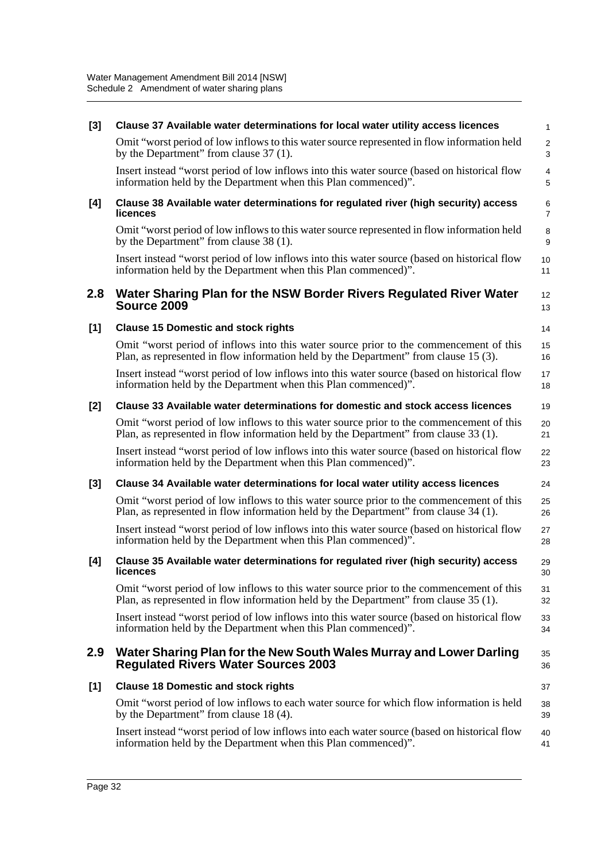| $[3]$ | Clause 37 Available water determinations for local water utility access licences                                                                                                 | 1                   |
|-------|----------------------------------------------------------------------------------------------------------------------------------------------------------------------------------|---------------------|
|       | Omit "worst period of low inflows to this water source represented in flow information held<br>by the Department" from clause 37 (1).                                            | $\overline{c}$<br>3 |
|       | Insert instead "worst period of low inflows into this water source (based on historical flow<br>information held by the Department when this Plan commenced)".                   | 4<br>5              |
| [4]   | Clause 38 Available water determinations for regulated river (high security) access<br>licences                                                                                  | 6<br>$\overline{7}$ |
|       | Omit "worst period of low inflows to this water source represented in flow information held<br>by the Department" from clause 38 (1).                                            | 8<br>9              |
|       | Insert instead "worst period of low inflows into this water source (based on historical flow<br>information held by the Department when this Plan commenced)".                   | 10<br>11            |
| 2.8   | Water Sharing Plan for the NSW Border Rivers Regulated River Water<br><b>Source 2009</b>                                                                                         | 12<br>13            |
| [1]   | <b>Clause 15 Domestic and stock rights</b>                                                                                                                                       | 14                  |
|       | Omit "worst period of inflows into this water source prior to the commencement of this<br>Plan, as represented in flow information held by the Department" from clause 15 (3).   | 15<br>16            |
|       | Insert instead "worst period of low inflows into this water source (based on historical flow<br>information held by the Department when this Plan commenced)".                   | 17<br>18            |
| [2]   | Clause 33 Available water determinations for domestic and stock access licences                                                                                                  | 19                  |
|       | Omit "worst period of low inflows to this water source prior to the commencement of this<br>Plan, as represented in flow information held by the Department" from clause 33 (1). | 20<br>21            |
|       | Insert instead "worst period of low inflows into this water source (based on historical flow<br>information held by the Department when this Plan commenced)".                   | 22<br>23            |
| [3]   | Clause 34 Available water determinations for local water utility access licences                                                                                                 | 24                  |
|       | Omit "worst period of low inflows to this water source prior to the commencement of this<br>Plan, as represented in flow information held by the Department" from clause 34 (1). | 25<br>26            |
|       | Insert instead "worst period of low inflows into this water source (based on historical flow<br>information held by the Department when this Plan commenced)".                   | 27<br>28            |
| [4]   | Clause 35 Available water determinations for regulated river (high security) access<br>licences                                                                                  | 29<br>30            |
|       | Omit "worst period of low inflows to this water source prior to the commencement of this<br>Plan, as represented in flow information held by the Department" from clause 35 (1). | 31<br>32            |
|       | Insert instead "worst period of low inflows into this water source (based on historical flow<br>information held by the Department when this Plan commenced)".                   | 33<br>34            |
| 2.9   | Water Sharing Plan for the New South Wales Murray and Lower Darling<br><b>Regulated Rivers Water Sources 2003</b>                                                                | 35<br>36            |
| [1]   | <b>Clause 18 Domestic and stock rights</b>                                                                                                                                       | 37                  |
|       | Omit "worst period of low inflows to each water source for which flow information is held<br>by the Department" from clause 18 (4).                                              | 38<br>39            |
|       | Insert instead "worst period of low inflows into each water source (based on historical flow<br>information held by the Department when this Plan commenced)".                   | 40<br>41            |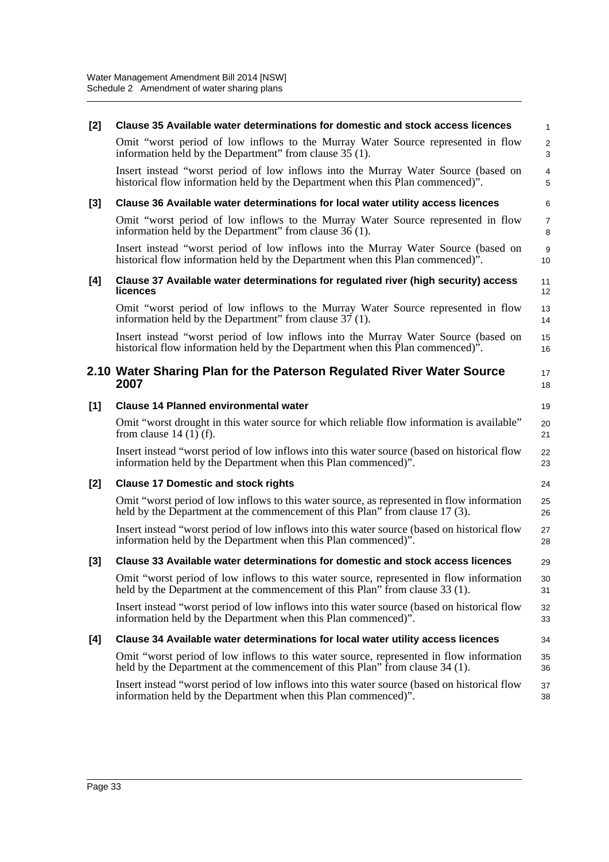| $[2]$ | Clause 35 Available water determinations for domestic and stock access licences                                                                                            | $\mathbf{1}$        |
|-------|----------------------------------------------------------------------------------------------------------------------------------------------------------------------------|---------------------|
|       | Omit "worst period of low inflows to the Murray Water Source represented in flow<br>information held by the Department" from clause 35 (1).                                | $\overline{c}$<br>3 |
|       | Insert instead "worst period of low inflows into the Murray Water Source (based on<br>historical flow information held by the Department when this Plan commenced)".       | $\overline{4}$<br>5 |
| [3]   | Clause 36 Available water determinations for local water utility access licences                                                                                           | 6                   |
|       | Omit "worst period of low inflows to the Murray Water Source represented in flow<br>information held by the Department" from clause 36 (1).                                | $\overline{7}$<br>8 |
|       | Insert instead "worst period of low inflows into the Murray Water Source (based on<br>historical flow information held by the Department when this Plan commenced)".       | 9<br>10             |
| [4]   | Clause 37 Available water determinations for regulated river (high security) access<br>licences                                                                            | 11<br>12            |
|       | Omit "worst period of low inflows to the Murray Water Source represented in flow<br>information held by the Department" from clause 37 (1).                                | 13<br>14            |
|       | Insert instead "worst period of low inflows into the Murray Water Source (based on<br>historical flow information held by the Department when this Plan commenced)".       | 15<br>16            |
|       | 2.10 Water Sharing Plan for the Paterson Regulated River Water Source<br>2007                                                                                              | 17<br>18            |
| $[1]$ | <b>Clause 14 Planned environmental water</b>                                                                                                                               | 19                  |
|       | Omit "worst drought in this water source for which reliable flow information is available"<br>from clause $14(1)$ (f).                                                     | 20<br>21            |
|       | Insert instead "worst period of low inflows into this water source (based on historical flow<br>information held by the Department when this Plan commenced)".             | 22<br>23            |
| $[2]$ | <b>Clause 17 Domestic and stock rights</b>                                                                                                                                 | 24                  |
|       | Omit "worst period of low inflows to this water source, as represented in flow information<br>held by the Department at the commencement of this Plan" from clause 17 (3). | 25<br>26            |
|       | Insert instead "worst period of low inflows into this water source (based on historical flow<br>information held by the Department when this Plan commenced)".             | 27<br>28            |
| $[3]$ | Clause 33 Available water determinations for domestic and stock access licences                                                                                            | 29                  |
|       | Omit "worst period of low inflows to this water source, represented in flow information<br>held by the Department at the commencement of this Plan" from clause 33 (1).    | 30<br>31            |
|       | Insert instead "worst period of low inflows into this water source (based on historical flow<br>information held by the Department when this Plan commenced)".             | 32<br>33            |
| [4]   | Clause 34 Available water determinations for local water utility access licences                                                                                           | 34                  |
|       | Omit "worst period of low inflows to this water source, represented in flow information<br>held by the Department at the commencement of this Plan" from clause 34 (1).    | 35<br>36            |
|       | Insert instead "worst period of low inflows into this water source (based on historical flow<br>information held by the Department when this Plan commenced)".             | 37<br>38            |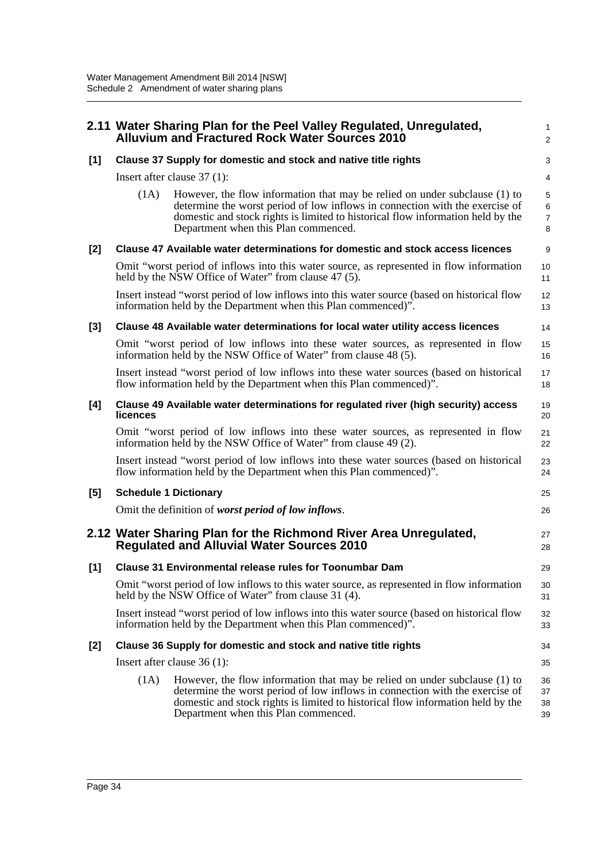|       |                                                                 | 2.11 Water Sharing Plan for the Peel Valley Regulated, Unregulated,<br><b>Alluvium and Fractured Rock Water Sources 2010</b>                                                                                                                                                          | 1<br>$\overline{2}$                        |
|-------|-----------------------------------------------------------------|---------------------------------------------------------------------------------------------------------------------------------------------------------------------------------------------------------------------------------------------------------------------------------------|--------------------------------------------|
| $[1]$ |                                                                 | Clause 37 Supply for domestic and stock and native title rights                                                                                                                                                                                                                       | 3                                          |
|       |                                                                 | Insert after clause $37(1)$ :                                                                                                                                                                                                                                                         | $\overline{4}$                             |
|       | (1A)                                                            | However, the flow information that may be relied on under subclause (1) to<br>determine the worst period of low inflows in connection with the exercise of<br>domestic and stock rights is limited to historical flow information held by the<br>Department when this Plan commenced. | 5<br>$6\phantom{a}$<br>$\overline{7}$<br>8 |
| [2]   |                                                                 | Clause 47 Available water determinations for domestic and stock access licences                                                                                                                                                                                                       | 9                                          |
|       |                                                                 | Omit "worst period of inflows into this water source, as represented in flow information<br>held by the NSW Office of Water" from clause 47 (5).                                                                                                                                      | 10<br>11                                   |
|       |                                                                 | Insert instead "worst period of low inflows into this water source (based on historical flow<br>information held by the Department when this Plan commenced)".                                                                                                                        | 12<br>13                                   |
| $[3]$ |                                                                 | Clause 48 Available water determinations for local water utility access licences                                                                                                                                                                                                      | 14                                         |
|       |                                                                 | Omit "worst period of low inflows into these water sources, as represented in flow<br>information held by the NSW Office of Water" from clause 48 (5).                                                                                                                                | 15<br>16                                   |
|       |                                                                 | Insert instead "worst period of low inflows into these water sources (based on historical<br>flow information held by the Department when this Plan commenced)".                                                                                                                      | 17<br>18                                   |
| [4]   | licences                                                        | Clause 49 Available water determinations for regulated river (high security) access                                                                                                                                                                                                   | 19<br>20                                   |
|       |                                                                 | Omit "worst period of low inflows into these water sources, as represented in flow<br>information held by the NSW Office of Water" from clause 49 (2).                                                                                                                                | 21<br>22                                   |
|       |                                                                 | Insert instead "worst period of low inflows into these water sources (based on historical<br>flow information held by the Department when this Plan commenced)".                                                                                                                      | 23<br>24                                   |
| [5]   |                                                                 | <b>Schedule 1 Dictionary</b>                                                                                                                                                                                                                                                          | 25                                         |
|       |                                                                 | Omit the definition of worst period of low inflows.                                                                                                                                                                                                                                   | 26                                         |
|       |                                                                 | 2.12 Water Sharing Plan for the Richmond River Area Unregulated,<br><b>Regulated and Alluvial Water Sources 2010</b>                                                                                                                                                                  | 27<br>28                                   |
| [1]   |                                                                 | <b>Clause 31 Environmental release rules for Toonumbar Dam</b>                                                                                                                                                                                                                        | 29                                         |
|       |                                                                 | Omit "worst period of low inflows to this water source, as represented in flow information<br>held by the NSW Office of Water" from clause 31 (4).                                                                                                                                    | 30<br>31                                   |
|       |                                                                 | Insert instead "worst period of low inflows into this water source (based on historical flow<br>information held by the Department when this Plan commenced)".                                                                                                                        | 32<br>33                                   |
| [2]   | Clause 36 Supply for domestic and stock and native title rights |                                                                                                                                                                                                                                                                                       | 34                                         |
|       |                                                                 | Insert after clause $36(1)$ :                                                                                                                                                                                                                                                         | 35                                         |
|       | (1A)                                                            | However, the flow information that may be relied on under subclause (1) to<br>determine the worst period of low inflows in connection with the exercise of<br>domestic and stock rights is limited to historical flow information held by the<br>Department when this Plan commenced. | 36<br>37<br>38<br>39                       |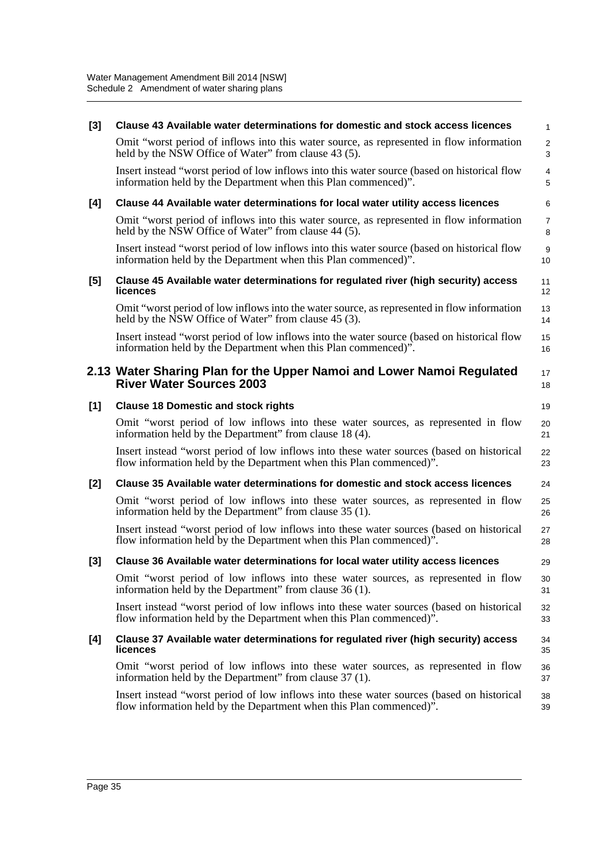| $[3]$ | Clause 43 Available water determinations for domestic and stock access licences                                                                                  | $\mathbf{1}$           |
|-------|------------------------------------------------------------------------------------------------------------------------------------------------------------------|------------------------|
|       | Omit "worst period of inflows into this water source, as represented in flow information<br>held by the NSW Office of Water" from clause 43 (5).                 | 2<br>3                 |
|       | Insert instead "worst period of low inflows into this water source (based on historical flow<br>information held by the Department when this Plan commenced)".   | 4<br>5                 |
| [4]   | Clause 44 Available water determinations for local water utility access licences                                                                                 | 6                      |
|       | Omit "worst period of inflows into this water source, as represented in flow information<br>held by the NSW Office of Water" from clause 44 (5).                 | $\overline{7}$<br>8    |
|       | Insert instead "worst period of low inflows into this water source (based on historical flow<br>information held by the Department when this Plan commenced)".   | $\boldsymbol{9}$<br>10 |
| [5]   | Clause 45 Available water determinations for regulated river (high security) access<br>licences                                                                  | 11<br>12               |
|       | Omit "worst period of low inflows into the water source, as represented in flow information<br>held by the NSW Office of Water" from clause 45 (3).              | 13<br>14               |
|       | Insert instead "worst period of low inflows into the water source (based on historical flow<br>information held by the Department when this Plan commenced)".    | 15<br>16               |
|       | 2.13 Water Sharing Plan for the Upper Namoi and Lower Namoi Regulated<br><b>River Water Sources 2003</b>                                                         | 17<br>18               |
| [1]   | <b>Clause 18 Domestic and stock rights</b>                                                                                                                       | 19                     |
|       | Omit "worst period of low inflows into these water sources, as represented in flow<br>information held by the Department" from clause 18 (4).                    | 20<br>21               |
|       | Insert instead "worst period of low inflows into these water sources (based on historical<br>flow information held by the Department when this Plan commenced)". | 22<br>23               |
| [2]   | Clause 35 Available water determinations for domestic and stock access licences                                                                                  | 24                     |
|       | Omit "worst period of low inflows into these water sources, as represented in flow<br>information held by the Department" from clause 35 (1).                    | 25<br>26               |
|       | Insert instead "worst period of low inflows into these water sources (based on historical<br>flow information held by the Department when this Plan commenced)". | 27<br>28               |
| $[3]$ | Clause 36 Available water determinations for local water utility access licences                                                                                 | 29                     |
|       | Omit "worst period of low inflows into these water sources, as represented in flow<br>information held by the Department" from clause 36 (1).                    | 30<br>31               |
|       | Insert instead "worst period of low inflows into these water sources (based on historical<br>flow information held by the Department when this Plan commenced)". | 32<br>33               |
| [4]   | Clause 37 Available water determinations for regulated river (high security) access<br>licences                                                                  | 34<br>35               |
|       | Omit "worst period of low inflows into these water sources, as represented in flow<br>information held by the Department" from clause 37 (1).                    | 36<br>37               |
|       | Insert instead "worst period of low inflows into these water sources (based on historical<br>flow information held by the Department when this Plan commenced)". | 38<br>39               |